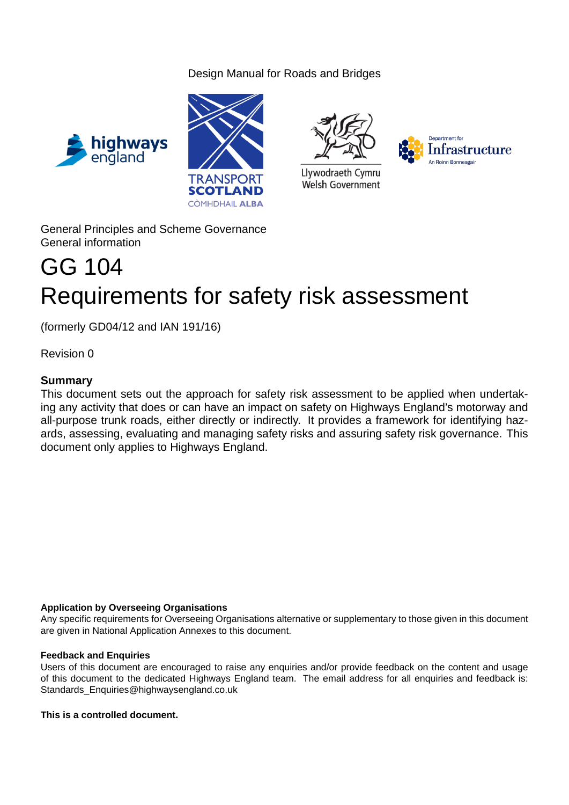## Design Manual for Roads and Bridges







Llywodraeth Cymru Welsh Government



General Principles and Scheme Governance General information

# GG 104 Requirements for safety risk assessment

(formerly GD04/12 and IAN 191/16)

Revision 0

## **Summary**

This document sets out the approach for safety risk assessment to be applied when undertaking any activity that does or can have an impact on safety on Highways England's motorway and all-purpose trunk roads, either directly or indirectly. It provides a framework for identifying hazards, assessing, evaluating and managing safety risks and assuring safety risk governance. This document only applies to Highways England.

## **Application by Overseeing Organisations**

Any specific requirements for Overseeing Organisations alternative or supplementary to those given in this document are given in National Application Annexes to this document.

## **Feedback and Enquiries**

Users of this document are encouraged to raise any enquiries and/or provide feedback on the content and usage of this document to the dedicated Highways England team. The email address for all enquiries and feedback is: Standards Enquiries@highwaysengland.co.uk

## **This is a controlled document.**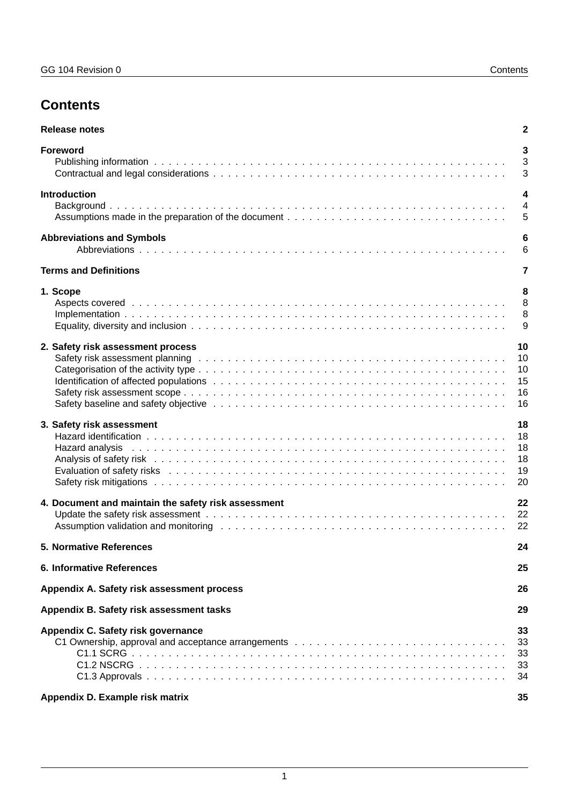## **Contents**

| <b>Release notes</b>                                                                                                                                                                                                                                                                  | 2                                       |
|---------------------------------------------------------------------------------------------------------------------------------------------------------------------------------------------------------------------------------------------------------------------------------------|-----------------------------------------|
| Foreword                                                                                                                                                                                                                                                                              | 3<br>3<br>3                             |
| <b>Introduction</b>                                                                                                                                                                                                                                                                   | $\boldsymbol{4}$<br>$\overline{4}$<br>5 |
| <b>Abbreviations and Symbols</b>                                                                                                                                                                                                                                                      | 6<br>6                                  |
| <b>Terms and Definitions</b>                                                                                                                                                                                                                                                          | $\overline{7}$                          |
| 1. Scope                                                                                                                                                                                                                                                                              | 8<br>8<br>8<br>9                        |
| 2. Safety risk assessment process<br>Safety risk assessment planning education of the control of the control of the control of the control of the control of the control of the control of the control of the control of the control of the control of the control                    | 10<br>10<br>10<br>15<br>16<br>16        |
| 3. Safety risk assessment<br>Hazard analysis                                                                                                                                                                                                                                          | 18<br>18<br>18<br>18<br>19<br>20        |
| 4. Document and maintain the safety risk assessment<br>Assumption validation and monitoring enterprise in the contract of the contract of the contract of the contract of the contract of the contract of the contract of the contract of the contract of the contract of the contrac | 22<br>22<br>22                          |
| <b>5. Normative References</b>                                                                                                                                                                                                                                                        | 24                                      |
| <b>6. Informative References</b>                                                                                                                                                                                                                                                      | 25                                      |
| Appendix A. Safety risk assessment process                                                                                                                                                                                                                                            | 26                                      |
| Appendix B. Safety risk assessment tasks                                                                                                                                                                                                                                              | 29                                      |
| Appendix C. Safety risk governance                                                                                                                                                                                                                                                    | 33<br>33<br>33<br>33<br>34              |
| Appendix D. Example risk matrix                                                                                                                                                                                                                                                       | 35                                      |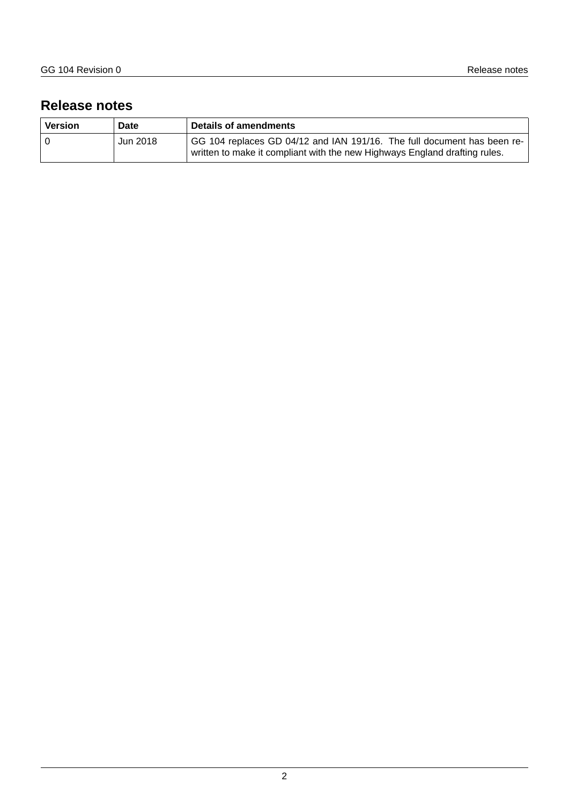## <span id="page-2-0"></span>**Release notes**

| <b>Version</b> | Date     | Details of amendments                                                                                                                                 |
|----------------|----------|-------------------------------------------------------------------------------------------------------------------------------------------------------|
|                | Jun 2018 | GG 104 replaces GD 04/12 and IAN 191/16. The full document has been re-<br>written to make it compliant with the new Highways England drafting rules. |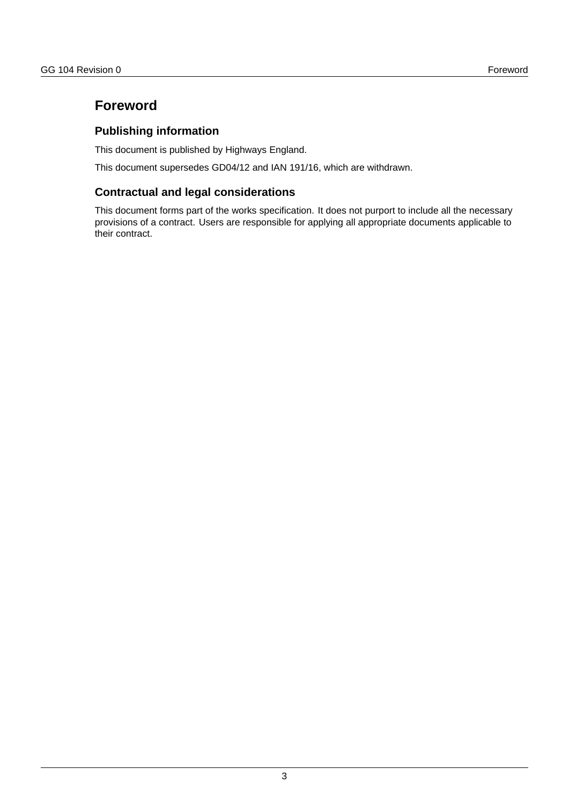## <span id="page-3-0"></span>**Foreword**

## <span id="page-3-1"></span>**Publishing information**

This document is published by Highways England.

This document supersedes GD04/12 and IAN 191/16, which are withdrawn.

## <span id="page-3-2"></span>**Contractual and legal considerations**

This document forms part of the works specification. It does not purport to include all the necessary provisions of a contract. Users are responsible for applying all appropriate documents applicable to their contract.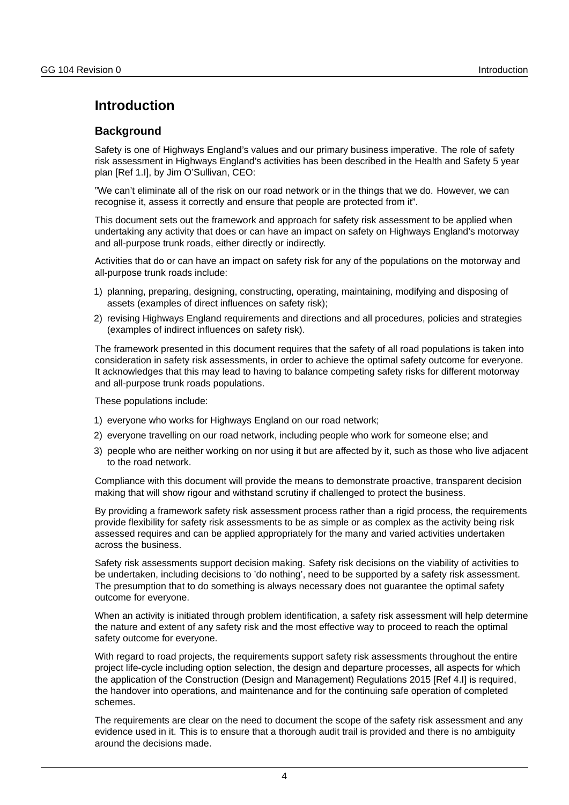## <span id="page-4-0"></span>**Introduction**

## <span id="page-4-1"></span>**Background**

Safety is one of Highways England's values and our primary business imperative. The role of safety risk assessment in Highways England's activities has been described in the Health and Safety 5 year plan [Ref 1.I], by Jim O'Sullivan, CEO:

"We can't eliminate all of the risk on our road network or in the things that we do. However, we can recognise it, assess it correctly and ensure that people are protected from it".

This document sets out the framework and approach for safety risk assessment to be applied when undertaking any activity that does or can have an impact on safety on Highways England's motorway and all-purpose trunk roads, either directly or indirectly.

Activities that do or can have an impact on safety risk for any of the populations on the motorway and all-purpose trunk roads include:

- 1) planning, preparing, designing, constructing, operating, maintaining, modifying and disposing of assets (examples of direct influences on safety risk);
- 2) revising Highways England requirements and directions and all procedures, policies and strategies (examples of indirect influences on safety risk).

The framework presented in this document requires that the safety of all road populations is taken into consideration in safety risk assessments, in order to achieve the optimal safety outcome for everyone. It acknowledges that this may lead to having to balance competing safety risks for different motorway and all-purpose trunk roads populations.

These populations include:

- 1) everyone who works for Highways England on our road network;
- 2) everyone travelling on our road network, including people who work for someone else; and
- 3) people who are neither working on nor using it but are affected by it, such as those who live adjacent to the road network.

Compliance with this document will provide the means to demonstrate proactive, transparent decision making that will show rigour and withstand scrutiny if challenged to protect the business.

By providing a framework safety risk assessment process rather than a rigid process, the requirements provide flexibility for safety risk assessments to be as simple or as complex as the activity being risk assessed requires and can be applied appropriately for the many and varied activities undertaken across the business.

Safety risk assessments support decision making. Safety risk decisions on the viability of activities to be undertaken, including decisions to 'do nothing', need to be supported by a safety risk assessment. The presumption that to do something is always necessary does not guarantee the optimal safety outcome for everyone.

When an activity is initiated through problem identification, a safety risk assessment will help determine the nature and extent of any safety risk and the most effective way to proceed to reach the optimal safety outcome for everyone.

With regard to road projects, the requirements support safety risk assessments throughout the entire project life-cycle including option selection, the design and departure processes, all aspects for which the application of the Construction (Design and Management) Regulations 2015 [Ref 4.I] is required, the handover into operations, and maintenance and for the continuing safe operation of completed schemes.

The requirements are clear on the need to document the scope of the safety risk assessment and any evidence used in it. This is to ensure that a thorough audit trail is provided and there is no ambiguity around the decisions made.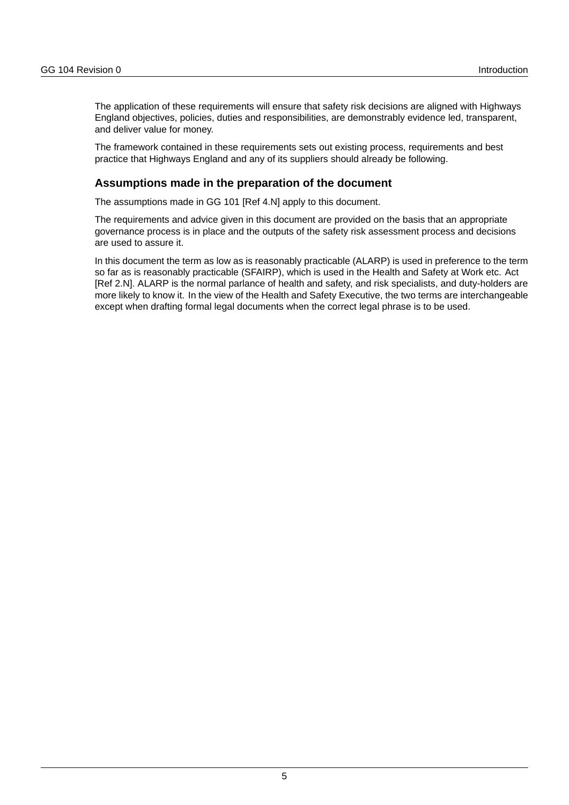The application of these requirements will ensure that safety risk decisions are aligned with Highways England objectives, policies, duties and responsibilities, are demonstrably evidence led, transparent, and deliver value for money.

The framework contained in these requirements sets out existing process, requirements and best practice that Highways England and any of its suppliers should already be following.

## <span id="page-5-0"></span>**Assumptions made in the preparation of the document**

The assumptions made in GG 101 [Ref 4.N] apply to this document.

The requirements and advice given in this document are provided on the basis that an appropriate governance process is in place and the outputs of the safety risk assessment process and decisions are used to assure it.

In this document the term as low as is reasonably practicable (ALARP) is used in preference to the term so far as is reasonably practicable (SFAIRP), which is used in the Health and Safety at Work etc. Act [Ref 2.N]. ALARP is the normal parlance of health and safety, and risk specialists, and duty-holders are more likely to know it. In the view of the Health and Safety Executive, the two terms are interchangeable except when drafting formal legal documents when the correct legal phrase is to be used.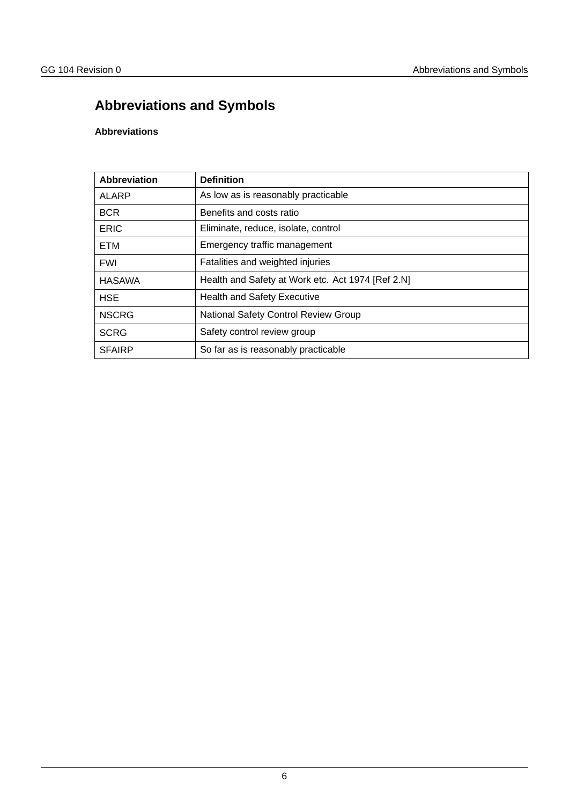## <span id="page-6-0"></span>**Abbreviations and Symbols**

## <span id="page-6-1"></span>**Abbreviations**

| Abbreviation  | <b>Definition</b>                                 |
|---------------|---------------------------------------------------|
| <b>ALARP</b>  | As low as is reasonably practicable               |
| <b>BCR</b>    | Benefits and costs ratio                          |
| <b>ERIC</b>   | Eliminate, reduce, isolate, control               |
| <b>ETM</b>    | Emergency traffic management                      |
| <b>FWI</b>    | Fatalities and weighted injuries                  |
| HASAWA        | Health and Safety at Work etc. Act 1974 [Ref 2.N] |
| <b>HSE</b>    | <b>Health and Safety Executive</b>                |
| <b>NSCRG</b>  | National Safety Control Review Group              |
| <b>SCRG</b>   | Safety control review group                       |
| <b>SFAIRP</b> | So far as is reasonably practicable               |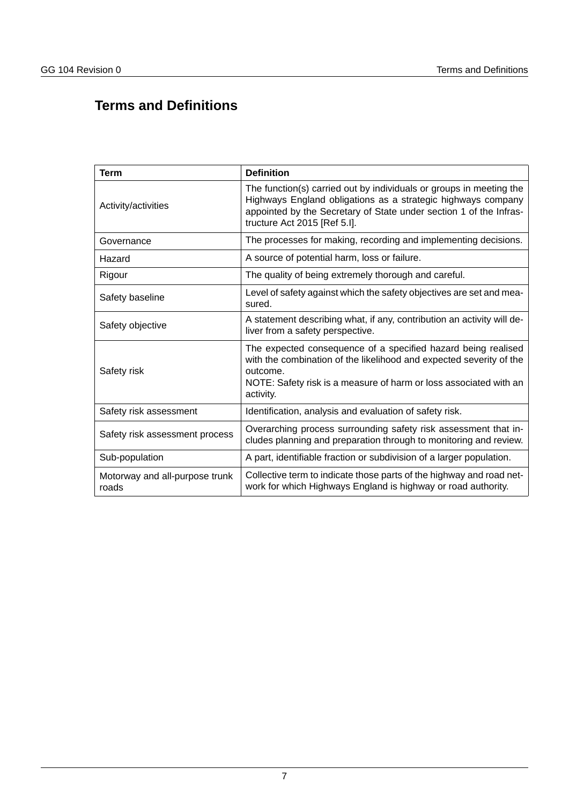## <span id="page-7-0"></span>**Terms and Definitions**

| <b>Term</b>                             | <b>Definition</b>                                                                                                                                                                                                                         |  |  |
|-----------------------------------------|-------------------------------------------------------------------------------------------------------------------------------------------------------------------------------------------------------------------------------------------|--|--|
| Activity/activities                     | The function(s) carried out by individuals or groups in meeting the<br>Highways England obligations as a strategic highways company<br>appointed by the Secretary of State under section 1 of the Infras-<br>tructure Act 2015 [Ref 5.I]. |  |  |
| Governance                              | The processes for making, recording and implementing decisions.                                                                                                                                                                           |  |  |
| Hazard                                  | A source of potential harm, loss or failure.                                                                                                                                                                                              |  |  |
| Rigour                                  | The quality of being extremely thorough and careful.                                                                                                                                                                                      |  |  |
| Safety baseline                         | Level of safety against which the safety objectives are set and mea-<br>sured.                                                                                                                                                            |  |  |
| Safety objective                        | A statement describing what, if any, contribution an activity will de-<br>liver from a safety perspective.                                                                                                                                |  |  |
| Safety risk                             | The expected consequence of a specified hazard being realised<br>with the combination of the likelihood and expected severity of the<br>outcome.<br>NOTE: Safety risk is a measure of harm or loss associated with an<br>activity.        |  |  |
| Safety risk assessment                  | Identification, analysis and evaluation of safety risk.                                                                                                                                                                                   |  |  |
| Safety risk assessment process          | Overarching process surrounding safety risk assessment that in-<br>cludes planning and preparation through to monitoring and review.                                                                                                      |  |  |
| Sub-population                          | A part, identifiable fraction or subdivision of a larger population.                                                                                                                                                                      |  |  |
| Motorway and all-purpose trunk<br>roads | Collective term to indicate those parts of the highway and road net-<br>work for which Highways England is highway or road authority.                                                                                                     |  |  |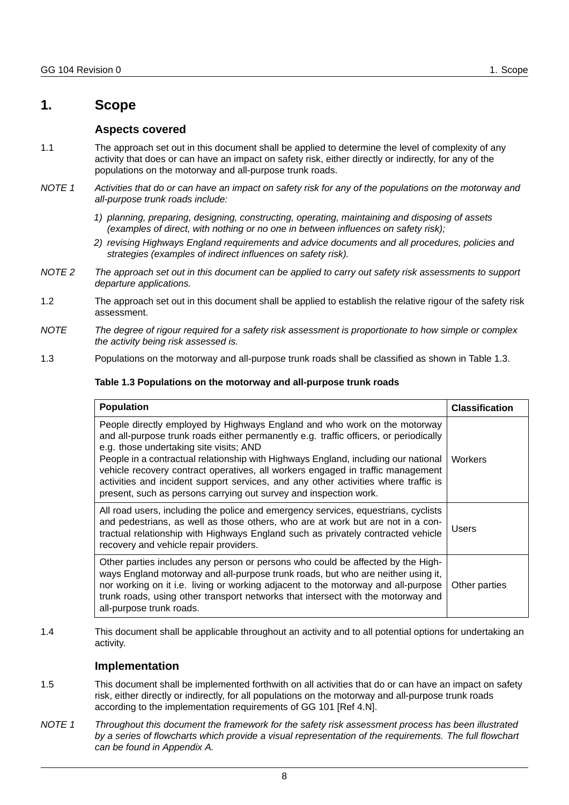## <span id="page-8-1"></span><span id="page-8-0"></span>**1. Scope**

## **Aspects covered**

- 1.1 The approach set out in this document shall be applied to determine the level of complexity of any activity that does or can have an impact on safety risk, either directly or indirectly, for any of the populations on the motorway and all-purpose trunk roads.
- *NOTE 1 Activities that do or can have an impact on safety risk for any of the populations on the motorway and all-purpose trunk roads include:*
	- *1) planning, preparing, designing, constructing, operating, maintaining and disposing of assets (examples of direct, with nothing or no one in between influences on safety risk);*
	- *2) revising Highways England requirements and advice documents and all procedures, policies and strategies (examples of indirect influences on safety risk).*
- *NOTE 2 The approach set out in this document can be applied to carry out safety risk assessments to support departure applications.*
- 1.2 The approach set out in this document shall be applied to establish the relative rigour of the safety risk assessment.
- *NOTE The degree of rigour required for a safety risk assessment is proportionate to how simple or complex the activity being risk assessed is.*
- 1.3 Populations on the motorway and all-purpose trunk roads shall be classified as shown in Table 1.3.

#### **Table 1.3 Populations on the motorway and all-purpose trunk roads**

| <b>Population</b>                                                                                                                                                                                                                                                                                                                                                                                                                                                                                                                                  | <b>Classification</b> |
|----------------------------------------------------------------------------------------------------------------------------------------------------------------------------------------------------------------------------------------------------------------------------------------------------------------------------------------------------------------------------------------------------------------------------------------------------------------------------------------------------------------------------------------------------|-----------------------|
| People directly employed by Highways England and who work on the motorway<br>and all-purpose trunk roads either permanently e.g. traffic officers, or periodically<br>e.g. those undertaking site visits; AND<br>People in a contractual relationship with Highways England, including our national<br>vehicle recovery contract operatives, all workers engaged in traffic management<br>activities and incident support services, and any other activities where traffic is<br>present, such as persons carrying out survey and inspection work. | <b>Workers</b>        |
| All road users, including the police and emergency services, equestrians, cyclists<br>and pedestrians, as well as those others, who are at work but are not in a con-<br>tractual relationship with Highways England such as privately contracted vehicle<br>recovery and vehicle repair providers.                                                                                                                                                                                                                                                | <b>Users</b>          |
| Other parties includes any person or persons who could be affected by the High-<br>ways England motorway and all-purpose trunk roads, but who are neither using it,<br>nor working on it i.e. living or working adjacent to the motorway and all-purpose<br>trunk roads, using other transport networks that intersect with the motorway and<br>all-purpose trunk roads.                                                                                                                                                                           | Other parties         |

1.4 This document shall be applicable throughout an activity and to all potential options for undertaking an activity.

## **Implementation**

- <span id="page-8-2"></span>1.5 This document shall be implemented forthwith on all activities that do or can have an impact on safety risk, either directly or indirectly, for all populations on the motorway and all-purpose trunk roads according to the implementation requirements of GG 101 [Ref 4.N].
- *NOTE 1 Throughout this document the framework for the safety risk assessment process has been illustrated by a series of flowcharts which provide a visual representation of the requirements. The full flowchart can be found in Appendix A.*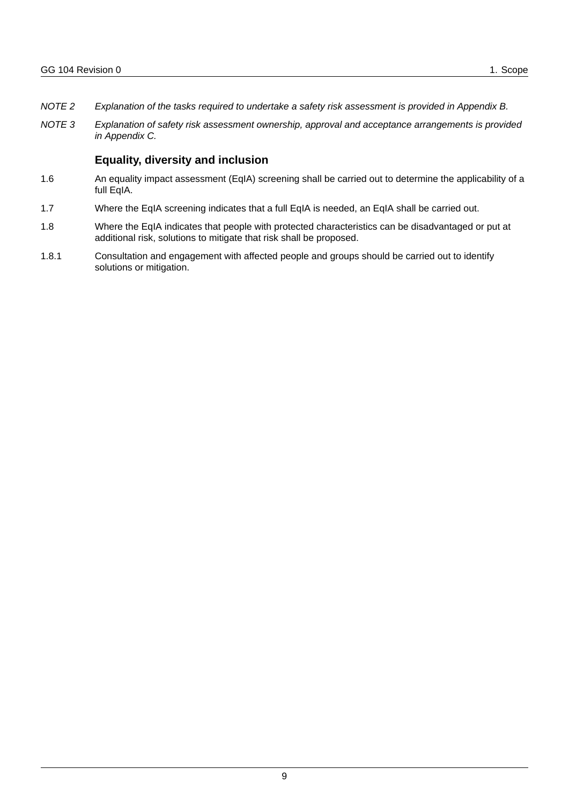- *NOTE 2 Explanation of the tasks required to undertake a safety risk assessment is provided in Appendix B.*
- *NOTE 3 Explanation of safety risk assessment ownership, approval and acceptance arrangements is provided in Appendix C.*

## **Equality, diversity and inclusion**

- <span id="page-9-0"></span>1.6 An equality impact assessment (EqIA) screening shall be carried out to determine the applicability of a full EqIA.
- 1.7 Where the EqIA screening indicates that a full EqIA is needed, an EqIA shall be carried out.
- 1.8 Where the EqIA indicates that people with protected characteristics can be disadvantaged or put at additional risk, solutions to mitigate that risk shall be proposed.
- 1.8.1 Consultation and engagement with affected people and groups should be carried out to identify solutions or mitigation.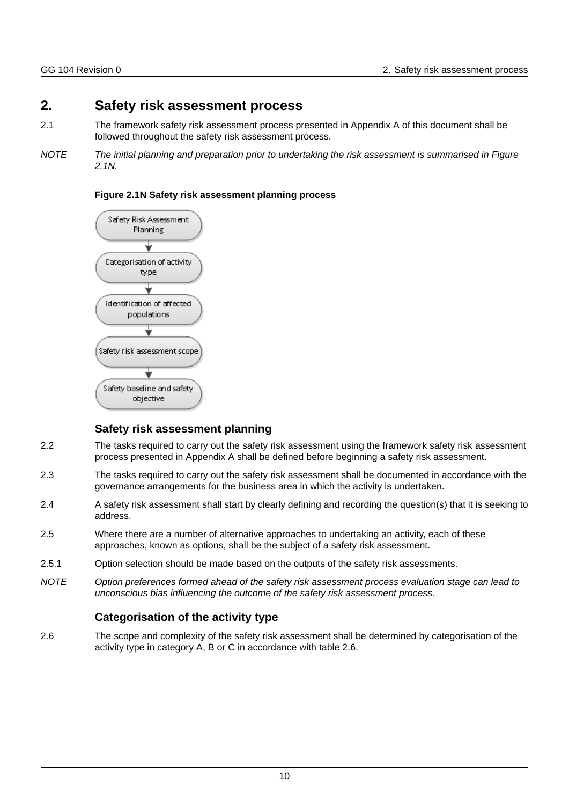## <span id="page-10-0"></span>**2. Safety risk assessment process**

- 2.1 The framework safety risk assessment process presented in Appendix A of this document shall be followed throughout the safety risk assessment process.
- *NOTE The initial planning and preparation prior to undertaking the risk assessment is summarised in Figure 2.1N.*



#### **Figure 2.1N Safety risk assessment planning process**

## **Safety risk assessment planning**

- <span id="page-10-1"></span>2.2 The tasks required to carry out the safety risk assessment using the framework safety risk assessment process presented in Appendix A shall be defined before beginning a safety risk assessment.
- 2.3 The tasks required to carry out the safety risk assessment shall be documented in accordance with the governance arrangements for the business area in which the activity is undertaken.
- 2.4 A safety risk assessment shall start by clearly defining and recording the question(s) that it is seeking to address.
- 2.5 Where there are a number of alternative approaches to undertaking an activity, each of these approaches, known as options, shall be the subject of a safety risk assessment.
- 2.5.1 Option selection should be made based on the outputs of the safety risk assessments.
- *NOTE Option preferences formed ahead of the safety risk assessment process evaluation stage can lead to unconscious bias influencing the outcome of the safety risk assessment process.*

## **Categorisation of the activity type**

<span id="page-10-2"></span>2.6 The scope and complexity of the safety risk assessment shall be determined by categorisation of the activity type in category A, B or C in accordance with table 2.6.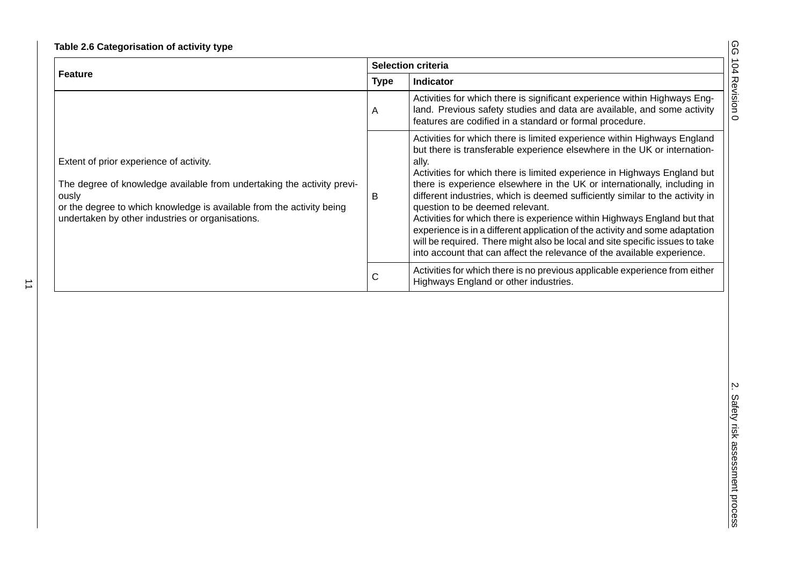| J<br>٢<br>) |
|-------------|
| à           |
| ć           |
| ۹<br>ţ      |
|             |

|                                                                                                                                                                                                                                                         | Selection criteria |                                                                                                                                                                                                                                                                                                                                                                                                                                                                                                                                                                                                                                                                                                                                                                   |
|---------------------------------------------------------------------------------------------------------------------------------------------------------------------------------------------------------------------------------------------------------|--------------------|-------------------------------------------------------------------------------------------------------------------------------------------------------------------------------------------------------------------------------------------------------------------------------------------------------------------------------------------------------------------------------------------------------------------------------------------------------------------------------------------------------------------------------------------------------------------------------------------------------------------------------------------------------------------------------------------------------------------------------------------------------------------|
| <b>Feature</b>                                                                                                                                                                                                                                          | <b>Type</b>        | Indicator                                                                                                                                                                                                                                                                                                                                                                                                                                                                                                                                                                                                                                                                                                                                                         |
|                                                                                                                                                                                                                                                         | A                  | Activities for which there is significant experience within Highways Eng-<br>land. Previous safety studies and data are available, and some activity<br>features are codified in a standard or formal procedure.                                                                                                                                                                                                                                                                                                                                                                                                                                                                                                                                                  |
| Extent of prior experience of activity.<br>The degree of knowledge available from undertaking the activity previ-<br>ously<br>or the degree to which knowledge is available from the activity being<br>undertaken by other industries or organisations. | $\sf B$            | Activities for which there is limited experience within Highways England<br>but there is transferable experience elsewhere in the UK or internation-<br>ally.<br>Activities for which there is limited experience in Highways England but<br>there is experience elsewhere in the UK or internationally, including in<br>different industries, which is deemed sufficiently similar to the activity in<br>question to be deemed relevant.<br>Activities for which there is experience within Highways England but that<br>experience is in a different application of the activity and some adaptation<br>will be required. There might also be local and site specific issues to take<br>into account that can affect the relevance of the available experience. |
|                                                                                                                                                                                                                                                         | $\mathsf C$        | Activities for which there is no previous applicable experience from either<br>Highways England or other industries.                                                                                                                                                                                                                                                                                                                                                                                                                                                                                                                                                                                                                                              |
|                                                                                                                                                                                                                                                         |                    |                                                                                                                                                                                                                                                                                                                                                                                                                                                                                                                                                                                                                                                                                                                                                                   |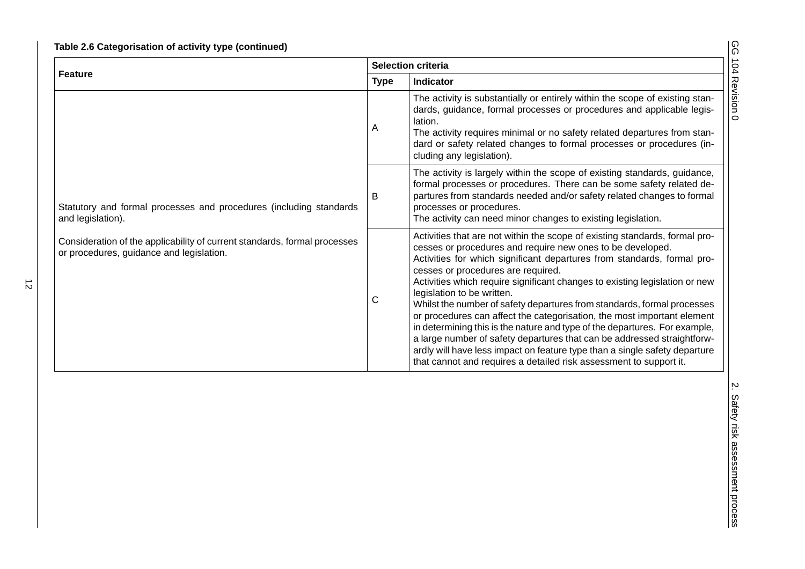|                                                                                                                       | Selection criteria |                                                                                                                                                                                                                                                                                                                                                                                                                                                                                                                                                                                                                                                                                                                                                                                                                                            |
|-----------------------------------------------------------------------------------------------------------------------|--------------------|--------------------------------------------------------------------------------------------------------------------------------------------------------------------------------------------------------------------------------------------------------------------------------------------------------------------------------------------------------------------------------------------------------------------------------------------------------------------------------------------------------------------------------------------------------------------------------------------------------------------------------------------------------------------------------------------------------------------------------------------------------------------------------------------------------------------------------------------|
| <b>Feature</b>                                                                                                        | <b>Type</b>        | Indicator                                                                                                                                                                                                                                                                                                                                                                                                                                                                                                                                                                                                                                                                                                                                                                                                                                  |
|                                                                                                                       | Α                  | The activity is substantially or entirely within the scope of existing stan-<br>dards, guidance, formal processes or procedures and applicable legis-<br>lation.<br>The activity requires minimal or no safety related departures from stan-<br>dard or safety related changes to formal processes or procedures (in-<br>cluding any legislation).                                                                                                                                                                                                                                                                                                                                                                                                                                                                                         |
| Statutory and formal processes and procedures (including standards<br>and legislation).                               | B                  | The activity is largely within the scope of existing standards, guidance,<br>formal processes or procedures. There can be some safety related de-<br>partures from standards needed and/or safety related changes to formal<br>processes or procedures.<br>The activity can need minor changes to existing legislation.                                                                                                                                                                                                                                                                                                                                                                                                                                                                                                                    |
| Consideration of the applicability of current standards, formal processes<br>or procedures, guidance and legislation. | $\mathsf C$        | Activities that are not within the scope of existing standards, formal pro-<br>cesses or procedures and require new ones to be developed.<br>Activities for which significant departures from standards, formal pro-<br>cesses or procedures are required.<br>Activities which require significant changes to existing legislation or new<br>legislation to be written.<br>Whilst the number of safety departures from standards, formal processes<br>or procedures can affect the categorisation, the most important element<br>in determining this is the nature and type of the departures. For example,<br>a large number of safety departures that can be addressed straightforw-<br>ardly will have less impact on feature type than a single safety departure<br>that cannot and requires a detailed risk assessment to support it. |
|                                                                                                                       |                    |                                                                                                                                                                                                                                                                                                                                                                                                                                                                                                                                                                                                                                                                                                                                                                                                                                            |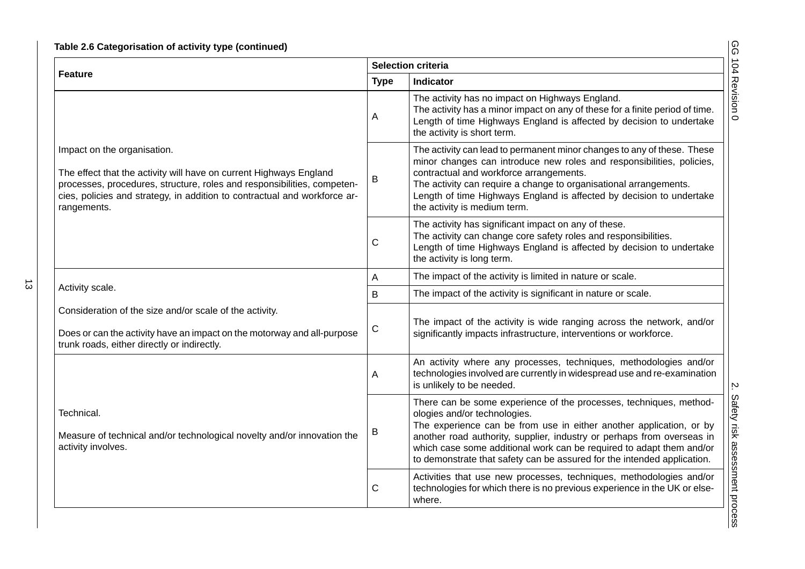|                                                                                                                                                                                                                                                                          | <b>Selection criteria</b> |                                                                                                                                                                                                                                                                                                                                                                                                        |
|--------------------------------------------------------------------------------------------------------------------------------------------------------------------------------------------------------------------------------------------------------------------------|---------------------------|--------------------------------------------------------------------------------------------------------------------------------------------------------------------------------------------------------------------------------------------------------------------------------------------------------------------------------------------------------------------------------------------------------|
| Feature                                                                                                                                                                                                                                                                  | <b>Type</b>               | <b>Indicator</b>                                                                                                                                                                                                                                                                                                                                                                                       |
|                                                                                                                                                                                                                                                                          | A                         | The activity has no impact on Highways England.<br>The activity has a minor impact on any of these for a finite period of time.<br>Length of time Highways England is affected by decision to undertake<br>the activity is short term.                                                                                                                                                                 |
| Impact on the organisation.<br>The effect that the activity will have on current Highways England<br>processes, procedures, structure, roles and responsibilities, competen-<br>cies, policies and strategy, in addition to contractual and workforce ar-<br>rangements. | B                         | The activity can lead to permanent minor changes to any of these. These<br>minor changes can introduce new roles and responsibilities, policies,<br>contractual and workforce arrangements.<br>The activity can require a change to organisational arrangements.<br>Length of time Highways England is affected by decision to undertake<br>the activity is medium term.                               |
|                                                                                                                                                                                                                                                                          | $\mathsf{C}$              | The activity has significant impact on any of these.<br>The activity can change core safety roles and responsibilities.<br>Length of time Highways England is affected by decision to undertake<br>the activity is long term.                                                                                                                                                                          |
|                                                                                                                                                                                                                                                                          | Α                         | The impact of the activity is limited in nature or scale.                                                                                                                                                                                                                                                                                                                                              |
| Activity scale.                                                                                                                                                                                                                                                          | B                         | The impact of the activity is significant in nature or scale.                                                                                                                                                                                                                                                                                                                                          |
| Consideration of the size and/or scale of the activity.<br>Does or can the activity have an impact on the motorway and all-purpose<br>trunk roads, either directly or indirectly.                                                                                        | $\mathsf C$               | The impact of the activity is wide ranging across the network, and/or<br>significantly impacts infrastructure, interventions or workforce.                                                                                                                                                                                                                                                             |
|                                                                                                                                                                                                                                                                          | A                         | An activity where any processes, techniques, methodologies and/or<br>technologies involved are currently in widespread use and re-examination<br>is unlikely to be needed.                                                                                                                                                                                                                             |
| Technical.<br>Measure of technical and/or technological novelty and/or innovation the<br>activity involves.                                                                                                                                                              | B                         | There can be some experience of the processes, techniques, method-<br>ologies and/or technologies.<br>The experience can be from use in either another application, or by<br>another road authority, supplier, industry or perhaps from overseas in<br>which case some additional work can be required to adapt them and/or<br>to demonstrate that safety can be assured for the intended application. |
|                                                                                                                                                                                                                                                                          |                           | Activities that use new processes, techniques, methodologies and/or<br>technologies for which there is no previous experience in the UK or else-<br>where.                                                                                                                                                                                                                                             |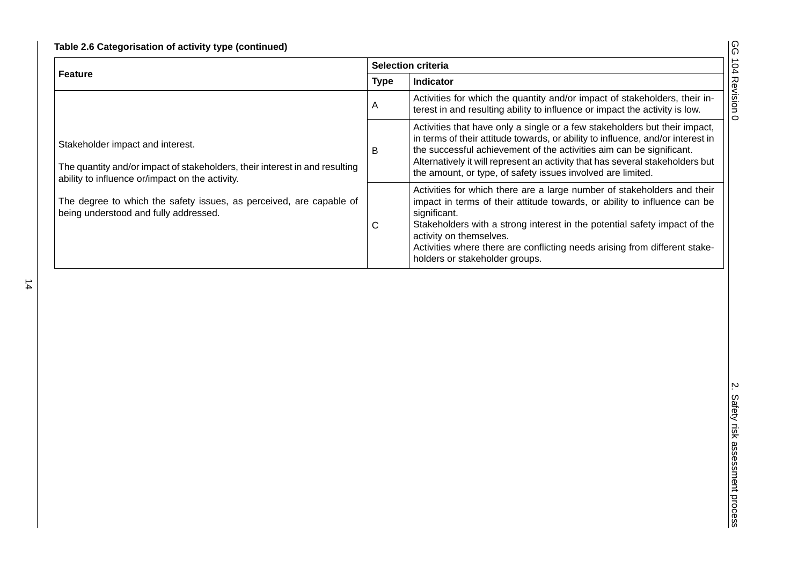| )<br>۰.<br>) |
|--------------|
| ţ            |
| ć            |
| ۹<br>į       |
|              |

|                                                                                                                                                                    | Selection criteria |                                                                                                                                                                                                                                                                                                                                                                                              |
|--------------------------------------------------------------------------------------------------------------------------------------------------------------------|--------------------|----------------------------------------------------------------------------------------------------------------------------------------------------------------------------------------------------------------------------------------------------------------------------------------------------------------------------------------------------------------------------------------------|
| <b>Feature</b>                                                                                                                                                     | <b>Type</b>        | Indicator                                                                                                                                                                                                                                                                                                                                                                                    |
|                                                                                                                                                                    | A                  | Activities for which the quantity and/or impact of stakeholders, their in-<br>terest in and resulting ability to influence or impact the activity is low.                                                                                                                                                                                                                                    |
| Stakeholder impact and interest.<br>The quantity and/or impact of stakeholders, their interest in and resulting<br>ability to influence or/impact on the activity. | B                  | Activities that have only a single or a few stakeholders but their impact,<br>in terms of their attitude towards, or ability to influence, and/or interest in<br>the successful achievement of the activities aim can be significant.<br>Alternatively it will represent an activity that has several stakeholders but<br>the amount, or type, of safety issues involved are limited.        |
| The degree to which the safety issues, as perceived, are capable of<br>being understood and fully addressed.                                                       | $\mathsf C$        | Activities for which there are a large number of stakeholders and their<br>impact in terms of their attitude towards, or ability to influence can be<br>significant.<br>Stakeholders with a strong interest in the potential safety impact of the<br>activity on themselves.<br>Activities where there are conflicting needs arising from different stake-<br>holders or stakeholder groups. |
|                                                                                                                                                                    |                    |                                                                                                                                                                                                                                                                                                                                                                                              |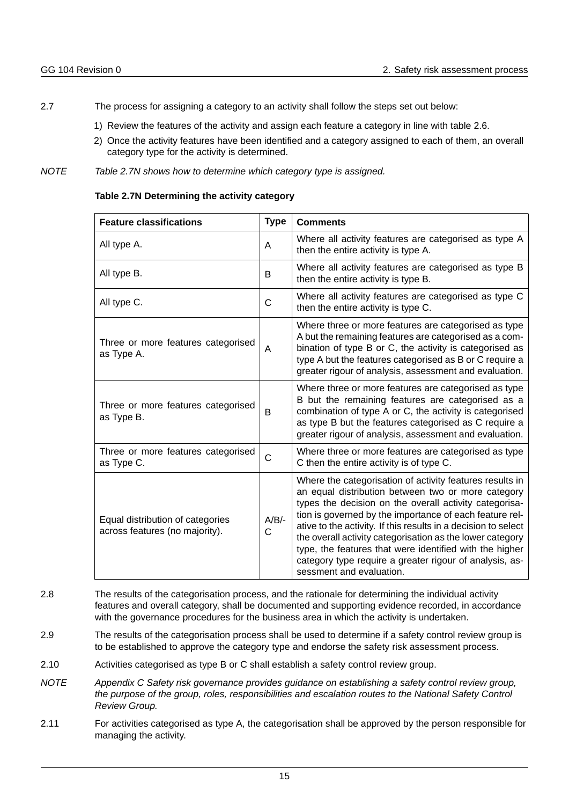- 2.7 The process for assigning a category to an activity shall follow the steps set out below:
	- 1) Review the features of the activity and assign each feature a category in line with table 2.6.
	- 2) Once the activity features have been identified and a category assigned to each of them, an overall category type for the activity is determined.
- *NOTE Table 2.7N shows how to determine which category type is assigned.*

| Table 2.7N Determining the activity category |  |  |
|----------------------------------------------|--|--|
|----------------------------------------------|--|--|

| <b>Feature classifications</b>                                     | <b>Type</b>  | <b>Comments</b>                                                                                                                                                                                                                                                                                                                                                                                                                                                                                                      |
|--------------------------------------------------------------------|--------------|----------------------------------------------------------------------------------------------------------------------------------------------------------------------------------------------------------------------------------------------------------------------------------------------------------------------------------------------------------------------------------------------------------------------------------------------------------------------------------------------------------------------|
| All type A.                                                        | A            | Where all activity features are categorised as type A<br>then the entire activity is type A.                                                                                                                                                                                                                                                                                                                                                                                                                         |
| All type B.                                                        | B            | Where all activity features are categorised as type B<br>then the entire activity is type B.                                                                                                                                                                                                                                                                                                                                                                                                                         |
| All type C.                                                        | C            | Where all activity features are categorised as type C<br>then the entire activity is type C.                                                                                                                                                                                                                                                                                                                                                                                                                         |
| Three or more features categorised<br>as Type A.                   | A            | Where three or more features are categorised as type<br>A but the remaining features are categorised as a com-<br>bination of type B or C, the activity is categorised as<br>type A but the features categorised as B or C require a<br>greater rigour of analysis, assessment and evaluation.                                                                                                                                                                                                                       |
| Three or more features categorised<br>as Type B.                   | B            | Where three or more features are categorised as type<br>B but the remaining features are categorised as a<br>combination of type A or C, the activity is categorised<br>as type B but the features categorised as C require a<br>greater rigour of analysis, assessment and evaluation.                                                                                                                                                                                                                              |
| Three or more features categorised<br>as Type C.                   | $\mathsf{C}$ | Where three or more features are categorised as type<br>C then the entire activity is of type C.                                                                                                                                                                                                                                                                                                                                                                                                                     |
| Equal distribution of categories<br>across features (no majority). | $A/B/-$<br>C | Where the categorisation of activity features results in<br>an equal distribution between two or more category<br>types the decision on the overall activity categorisa-<br>tion is governed by the importance of each feature rel-<br>ative to the activity. If this results in a decision to select<br>the overall activity categorisation as the lower category<br>type, the features that were identified with the higher<br>category type require a greater rigour of analysis, as-<br>sessment and evaluation. |

- 2.8 The results of the categorisation process, and the rationale for determining the individual activity features and overall category, shall be documented and supporting evidence recorded, in accordance with the governance procedures for the business area in which the activity is undertaken.
- 2.9 The results of the categorisation process shall be used to determine if a safety control review group is to be established to approve the category type and endorse the safety risk assessment process.
- 2.10 Activities categorised as type B or C shall establish a safety control review group.
- *NOTE Appendix C Safety risk governance provides guidance on establishing a safety control review group, the purpose of the group, roles, responsibilities and escalation routes to the National Safety Control Review Group.*
- <span id="page-15-0"></span>2.11 For activities categorised as type A, the categorisation shall be approved by the person responsible for managing the activity.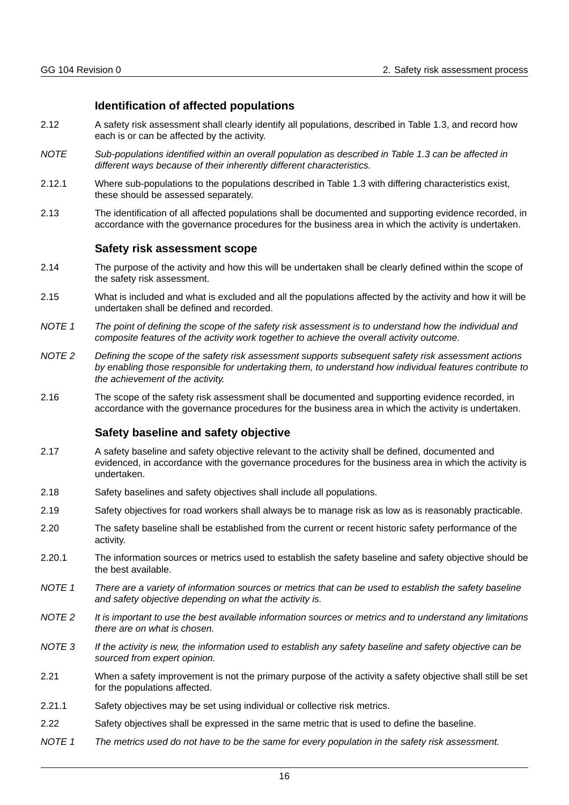## **Identification of affected populations**

- 2.12 A safety risk assessment shall clearly identify all populations, described in Table 1.3, and record how each is or can be affected by the activity.
- *NOTE Sub-populations identified within an overall population as described in Table 1.3 can be affected in different ways because of their inherently different characteristics.*
- 2.12.1 Where sub-populations to the populations described in Table 1.3 with differing characteristics exist, these should be assessed separately.
- 2.13 The identification of all affected populations shall be documented and supporting evidence recorded, in accordance with the governance procedures for the business area in which the activity is undertaken.

## **Safety risk assessment scope**

- <span id="page-16-0"></span>2.14 The purpose of the activity and how this will be undertaken shall be clearly defined within the scope of the safety risk assessment.
- 2.15 What is included and what is excluded and all the populations affected by the activity and how it will be undertaken shall be defined and recorded.
- *NOTE 1 The point of defining the scope of the safety risk assessment is to understand how the individual and composite features of the activity work together to achieve the overall activity outcome.*
- *NOTE 2 Defining the scope of the safety risk assessment supports subsequent safety risk assessment actions by enabling those responsible for undertaking them, to understand how individual features contribute to the achievement of the activity.*
- 2.16 The scope of the safety risk assessment shall be documented and supporting evidence recorded, in accordance with the governance procedures for the business area in which the activity is undertaken.

## **Safety baseline and safety objective**

- <span id="page-16-1"></span>2.17 A safety baseline and safety objective relevant to the activity shall be defined, documented and evidenced, in accordance with the governance procedures for the business area in which the activity is undertaken.
- 2.18 Safety baselines and safety objectives shall include all populations.
- 2.19 Safety objectives for road workers shall always be to manage risk as low as is reasonably practicable.
- 2.20 The safety baseline shall be established from the current or recent historic safety performance of the activity.
- 2.20.1 The information sources or metrics used to establish the safety baseline and safety objective should be the best available.
- *NOTE 1 There are a variety of information sources or metrics that can be used to establish the safety baseline and safety objective depending on what the activity is.*
- *NOTE 2 It is important to use the best available information sources or metrics and to understand any limitations there are on what is chosen.*
- *NOTE 3 If the activity is new, the information used to establish any safety baseline and safety objective can be sourced from expert opinion.*
- 2.21 When a safety improvement is not the primary purpose of the activity a safety objective shall still be set for the populations affected.
- 2.21.1 Safety objectives may be set using individual or collective risk metrics.
- 2.22 Safety objectives shall be expressed in the same metric that is used to define the baseline.
- *NOTE 1 The metrics used do not have to be the same for every population in the safety risk assessment.*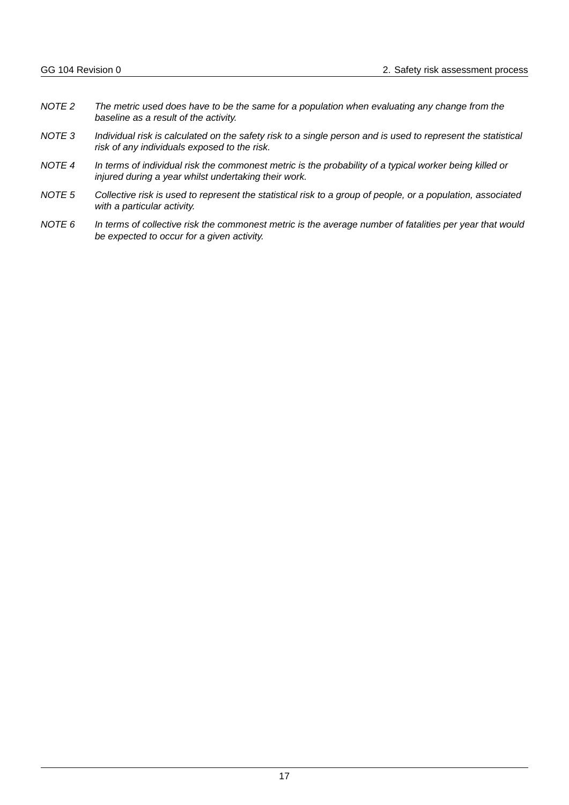- *NOTE 2 The metric used does have to be the same for a population when evaluating any change from the baseline as a result of the activity.*
- *NOTE 3 Individual risk is calculated on the safety risk to a single person and is used to represent the statistical risk of any individuals exposed to the risk.*
- *NOTE 4 In terms of individual risk the commonest metric is the probability of a typical worker being killed or injured during a year whilst undertaking their work.*
- *NOTE 5 Collective risk is used to represent the statistical risk to a group of people, or a population, associated with a particular activity.*
- *NOTE 6 In terms of collective risk the commonest metric is the average number of fatalities per year that would be expected to occur for a given activity.*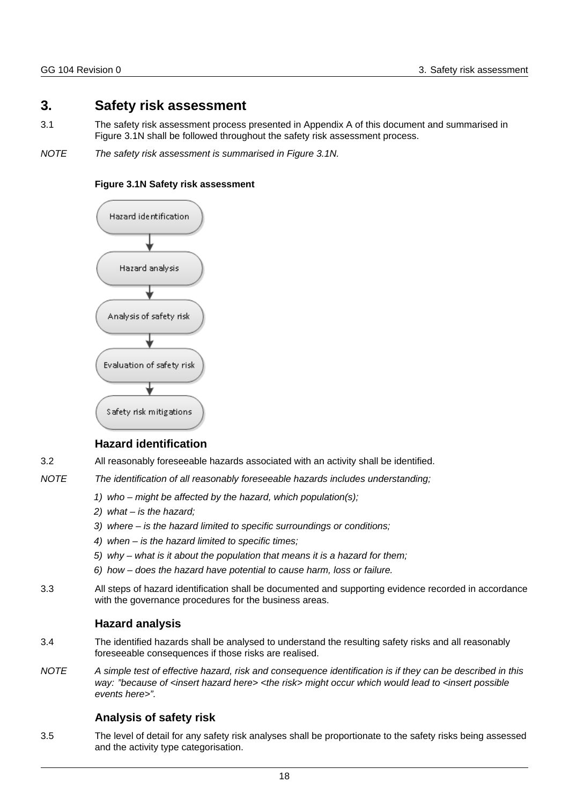## <span id="page-18-0"></span>**3. Safety risk assessment**

- 3.1 The safety risk assessment process presented in Appendix A of this document and summarised in Figure 3.1N shall be followed throughout the safety risk assessment process.
- *NOTE The safety risk assessment is summarised in Figure 3.1N.*

#### **Figure 3.1N Safety risk assessment**



## **Hazard identification**

- <span id="page-18-1"></span>3.2 All reasonably foreseeable hazards associated with an activity shall be identified.
- *NOTE The identification of all reasonably foreseeable hazards includes understanding;*
	- *1) who might be affected by the hazard, which population(s);*
	- *2) what is the hazard;*
	- *3) where is the hazard limited to specific surroundings or conditions;*
	- *4) when is the hazard limited to specific times;*
	- *5) why what is it about the population that means it is a hazard for them;*
	- *6) how does the hazard have potential to cause harm, loss or failure.*
- 3.3 All steps of hazard identification shall be documented and supporting evidence recorded in accordance with the governance procedures for the business areas.

## **Hazard analysis**

- <span id="page-18-2"></span>3.4 The identified hazards shall be analysed to understand the resulting safety risks and all reasonably foreseeable consequences if those risks are realised.
- *NOTE A simple test of effective hazard, risk and consequence identification is if they can be described in this way: "because of <insert hazard here> <the risk> might occur which would lead to <insert possible events here>".*

## **Analysis of safety risk**

<span id="page-18-3"></span>3.5 The level of detail for any safety risk analyses shall be proportionate to the safety risks being assessed and the activity type categorisation.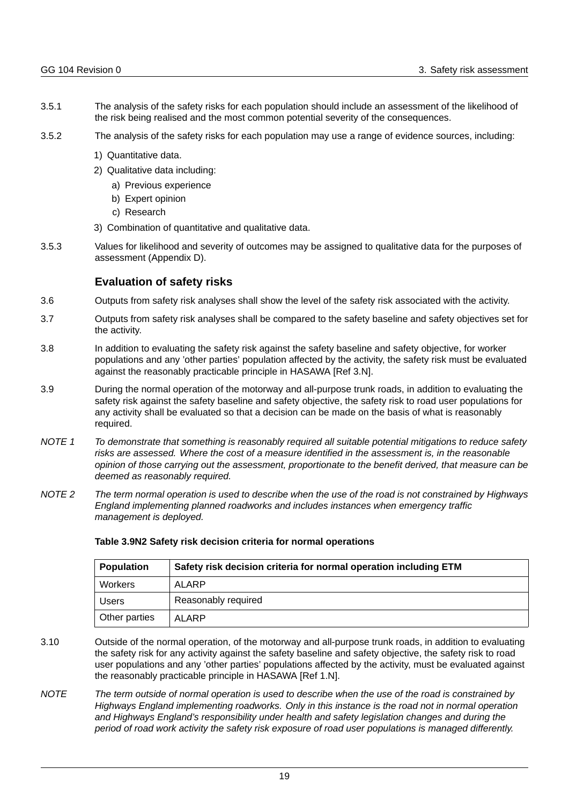- 3.5.1 The analysis of the safety risks for each population should include an assessment of the likelihood of the risk being realised and the most common potential severity of the consequences.
- 3.5.2 The analysis of the safety risks for each population may use a range of evidence sources, including:
	- 1) Quantitative data.
	- 2) Qualitative data including:
		- a) Previous experience
		- b) Expert opinion
		- c) Research
	- 3) Combination of quantitative and qualitative data.
- 3.5.3 Values for likelihood and severity of outcomes may be assigned to qualitative data for the purposes of assessment (Appendix D).

## **Evaluation of safety risks**

- <span id="page-19-0"></span>3.6 Outputs from safety risk analyses shall show the level of the safety risk associated with the activity.
- 3.7 Outputs from safety risk analyses shall be compared to the safety baseline and safety objectives set for the activity.
- 3.8 In addition to evaluating the safety risk against the safety baseline and safety objective, for worker populations and any 'other parties' population affected by the activity, the safety risk must be evaluated against the reasonably practicable principle in HASAWA [Ref 3.N].
- 3.9 During the normal operation of the motorway and all-purpose trunk roads, in addition to evaluating the safety risk against the safety baseline and safety objective, the safety risk to road user populations for any activity shall be evaluated so that a decision can be made on the basis of what is reasonably required.
- *NOTE 1 To demonstrate that something is reasonably required all suitable potential mitigations to reduce safety risks are assessed. Where the cost of a measure identified in the assessment is, in the reasonable opinion of those carrying out the assessment, proportionate to the benefit derived, that measure can be deemed as reasonably required.*
- *NOTE 2 The term normal operation is used to describe when the use of the road is not constrained by Highways England implementing planned roadworks and includes instances when emergency traffic management is deployed.*

| <b>Population</b> | Safety risk decision criteria for normal operation including ETM |  |
|-------------------|------------------------------------------------------------------|--|
| Workers           | ALARP                                                            |  |
| <b>Users</b>      | Reasonably required                                              |  |
| Other parties     | <b>ALARP</b>                                                     |  |

#### **Table 3.9N2 Safety risk decision criteria for normal operations**

- 3.10 Outside of the normal operation, of the motorway and all-purpose trunk roads, in addition to evaluating the safety risk for any activity against the safety baseline and safety objective, the safety risk to road user populations and any 'other parties' populations affected by the activity, must be evaluated against the reasonably practicable principle in HASAWA [Ref 1.N].
- *NOTE The term outside of normal operation is used to describe when the use of the road is constrained by Highways England implementing roadworks. Only in this instance is the road not in normal operation and Highways England's responsibility under health and safety legislation changes and during the period of road work activity the safety risk exposure of road user populations is managed differently.*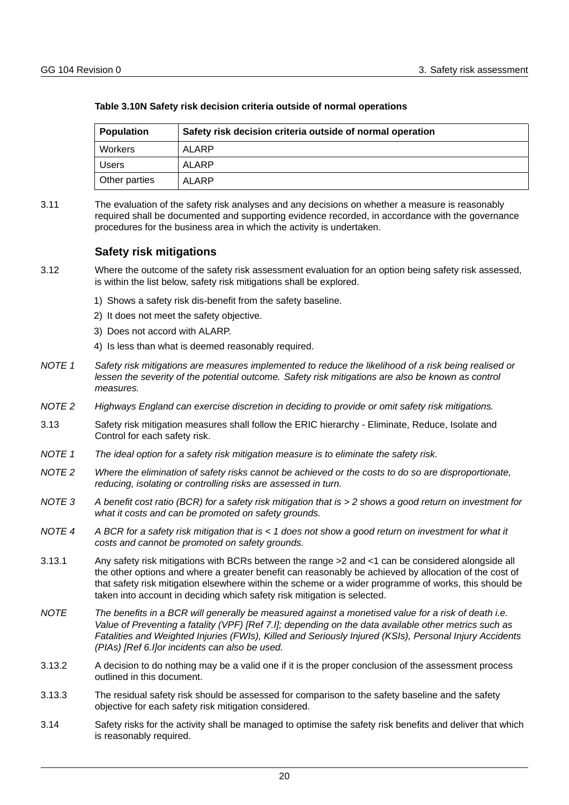| <b>Population</b> | Safety risk decision criteria outside of normal operation |  |
|-------------------|-----------------------------------------------------------|--|
| Workers           | ALARP                                                     |  |
| <b>Users</b>      | ALARP                                                     |  |
| Other parties     | ALARP                                                     |  |

#### **Table 3.10N Safety risk decision criteria outside of normal operations**

3.11 The evaluation of the safety risk analyses and any decisions on whether a measure is reasonably required shall be documented and supporting evidence recorded, in accordance with the governance procedures for the business area in which the activity is undertaken.

## **Safety risk mitigations**

- <span id="page-20-0"></span>3.12 Where the outcome of the safety risk assessment evaluation for an option being safety risk assessed, is within the list below, safety risk mitigations shall be explored.
	- 1) Shows a safety risk dis-benefit from the safety baseline.
	- 2) It does not meet the safety objective.
	- 3) Does not accord with ALARP.
	- 4) Is less than what is deemed reasonably required.
- *NOTE 1 Safety risk mitigations are measures implemented to reduce the likelihood of a risk being realised or lessen the severity of the potential outcome. Safety risk mitigations are also be known as control measures.*
- *NOTE 2 Highways England can exercise discretion in deciding to provide or omit safety risk mitigations.*
- 3.13 Safety risk mitigation measures shall follow the ERIC hierarchy Eliminate, Reduce, Isolate and Control for each safety risk.
- *NOTE 1 The ideal option for a safety risk mitigation measure is to eliminate the safety risk.*
- *NOTE 2 Where the elimination of safety risks cannot be achieved or the costs to do so are disproportionate, reducing, isolating or controlling risks are assessed in turn.*
- *NOTE 3 A benefit cost ratio (BCR) for a safety risk mitigation that is > 2 shows a good return on investment for what it costs and can be promoted on safety grounds.*
- *NOTE 4 A BCR for a safety risk mitigation that is < 1 does not show a good return on investment for what it costs and cannot be promoted on safety grounds.*
- 3.13.1 Any safety risk mitigations with BCRs between the range >2 and <1 can be considered alongside all the other options and where a greater benefit can reasonably be achieved by allocation of the cost of that safety risk mitigation elsewhere within the scheme or a wider programme of works, this should be taken into account in deciding which safety risk mitigation is selected.
- *NOTE The benefits in a BCR will generally be measured against a monetised value for a risk of death i.e. Value of Preventing a fatality (VPF) [Ref 7.I]; depending on the data available other metrics such as Fatalities and Weighted Injuries (FWIs), Killed and Seriously Injured (KSIs), Personal Injury Accidents (PIAs) [Ref 6.I]or incidents can also be used.*
- 3.13.2 A decision to do nothing may be a valid one if it is the proper conclusion of the assessment process outlined in this document.
- 3.13.3 The residual safety risk should be assessed for comparison to the safety baseline and the safety objective for each safety risk mitigation considered.
- 3.14 Safety risks for the activity shall be managed to optimise the safety risk benefits and deliver that which is reasonably required.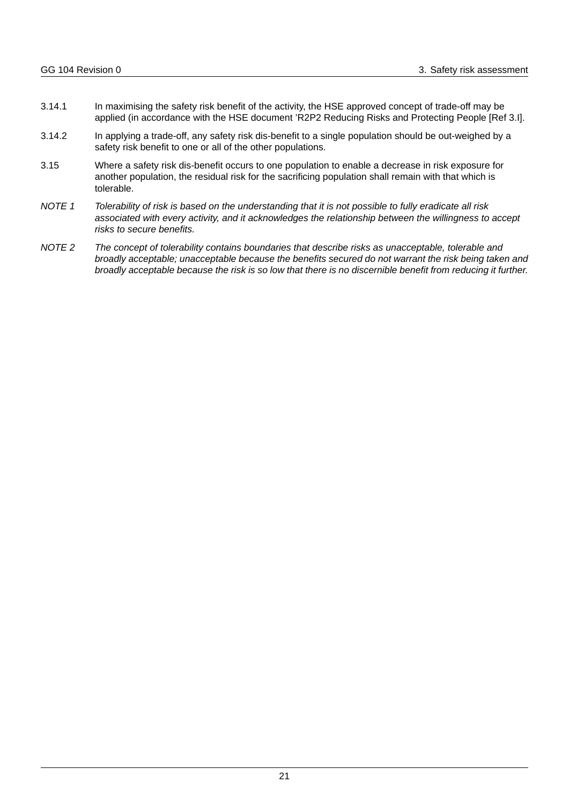- 3.14.1 In maximising the safety risk benefit of the activity, the HSE approved concept of trade-off may be applied (in accordance with the HSE document 'R2P2 Reducing Risks and Protecting People [Ref 3.I].
- 3.14.2 In applying a trade-off, any safety risk dis-benefit to a single population should be out-weighed by a safety risk benefit to one or all of the other populations.
- 3.15 Where a safety risk dis-benefit occurs to one population to enable a decrease in risk exposure for another population, the residual risk for the sacrificing population shall remain with that which is tolerable.
- *NOTE 1 Tolerability of risk is based on the understanding that it is not possible to fully eradicate all risk associated with every activity, and it acknowledges the relationship between the willingness to accept risks to secure benefits.*
- *NOTE 2 The concept of tolerability contains boundaries that describe risks as unacceptable, tolerable and broadly acceptable; unacceptable because the benefits secured do not warrant the risk being taken and broadly acceptable because the risk is so low that there is no discernible benefit from reducing it further.*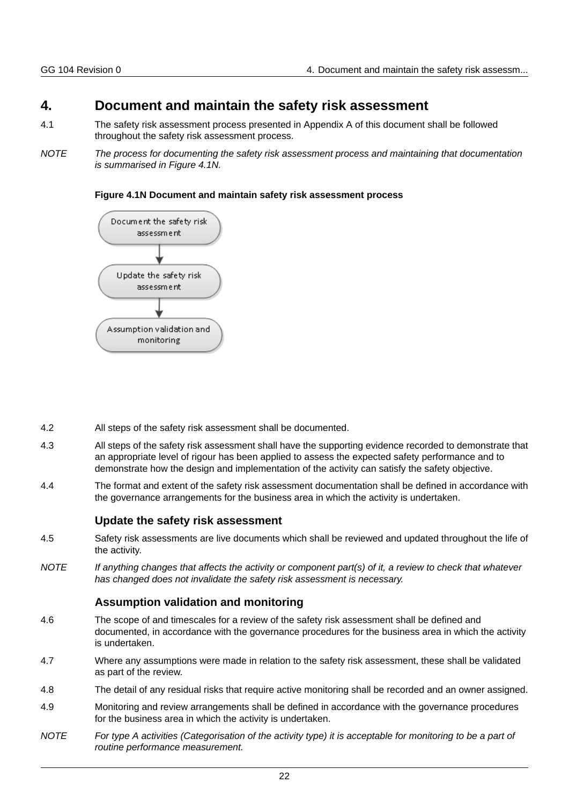## <span id="page-22-0"></span>**4. Document and maintain the safety risk assessment**

- 4.1 The safety risk assessment process presented in Appendix A of this document shall be followed throughout the safety risk assessment process.
- *NOTE The process for documenting the safety risk assessment process and maintaining that documentation is summarised in Figure 4.1N.*

## **Figure 4.1N Document and maintain safety risk assessment process**



- 4.2 All steps of the safety risk assessment shall be documented.
- 4.3 All steps of the safety risk assessment shall have the supporting evidence recorded to demonstrate that an appropriate level of rigour has been applied to assess the expected safety performance and to demonstrate how the design and implementation of the activity can satisfy the safety objective.
- 4.4 The format and extent of the safety risk assessment documentation shall be defined in accordance with the governance arrangements for the business area in which the activity is undertaken.

## **Update the safety risk assessment**

- <span id="page-22-1"></span>4.5 Safety risk assessments are live documents which shall be reviewed and updated throughout the life of the activity.
- *NOTE If anything changes that affects the activity or component part(s) of it, a review to check that whatever has changed does not invalidate the safety risk assessment is necessary.*

## **Assumption validation and monitoring**

- <span id="page-22-2"></span>4.6 The scope of and timescales for a review of the safety risk assessment shall be defined and documented, in accordance with the governance procedures for the business area in which the activity is undertaken.
- 4.7 Where any assumptions were made in relation to the safety risk assessment, these shall be validated as part of the review.
- 4.8 The detail of any residual risks that require active monitoring shall be recorded and an owner assigned.
- 4.9 Monitoring and review arrangements shall be defined in accordance with the governance procedures for the business area in which the activity is undertaken.
- *NOTE For type A activities (Categorisation of the activity type) it is acceptable for monitoring to be a part of routine performance measurement.*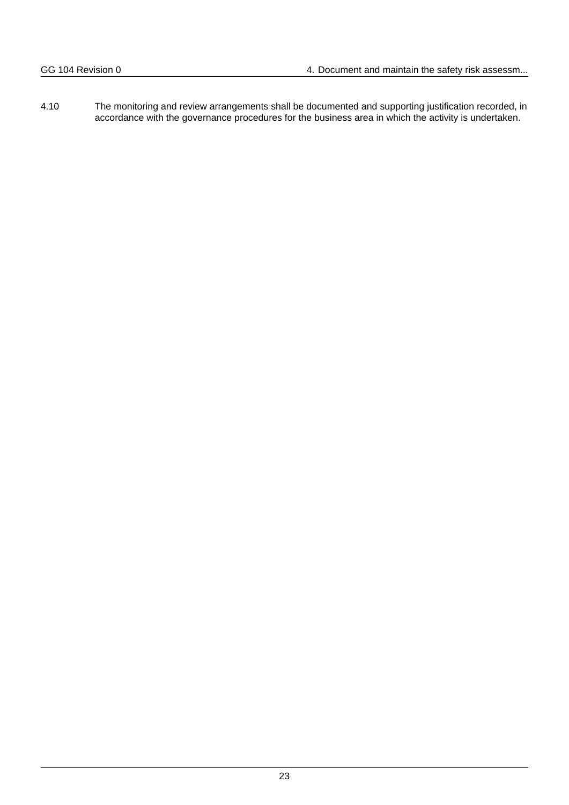4.10 The monitoring and review arrangements shall be documented and supporting justification recorded, in accordance with the governance procedures for the business area in which the activity is undertaken.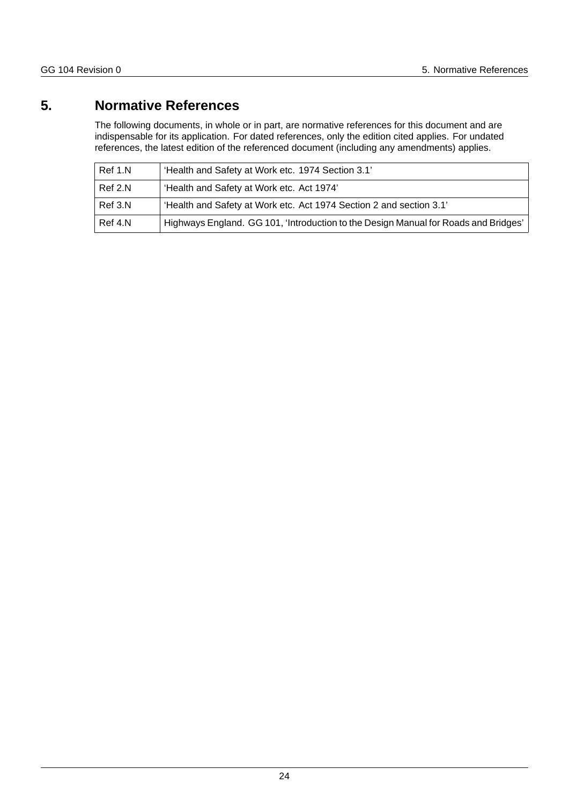## <span id="page-24-0"></span>**5. Normative References**

The following documents, in whole or in part, are normative references for this document and are indispensable for its application. For dated references, only the edition cited applies. For undated references, the latest edition of the referenced document (including any amendments) applies.

| Ref 1.N | 'Health and Safety at Work etc. 1974 Section 3.1'                                   |
|---------|-------------------------------------------------------------------------------------|
| Ref 2.N | 'Health and Safety at Work etc. Act 1974'                                           |
| Ref 3.N | 'Health and Safety at Work etc. Act 1974 Section 2 and section 3.1'                 |
| Ref 4.N | Highways England. GG 101, 'Introduction to the Design Manual for Roads and Bridges' |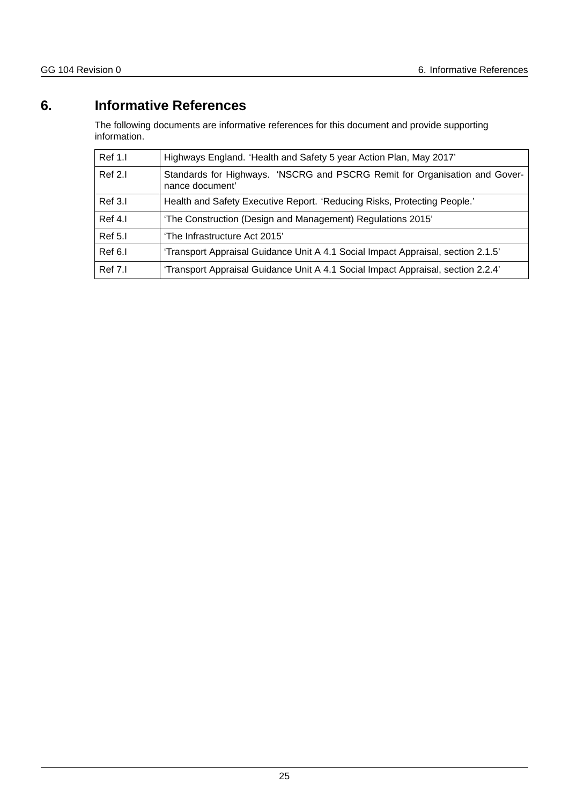## <span id="page-25-0"></span>**6. Informative References**

The following documents are informative references for this document and provide supporting information.

| Ref 1.1 | Highways England. 'Health and Safety 5 year Action Plan, May 2017'                            |
|---------|-----------------------------------------------------------------------------------------------|
| Ref 2.1 | Standards for Highways. 'NSCRG and PSCRG Remit for Organisation and Gover-<br>nance document' |
| Ref 3.I | Health and Safety Executive Report. 'Reducing Risks, Protecting People.'                      |
| Ref 4.I | 'The Construction (Design and Management) Regulations 2015'                                   |
| Ref 5.I | 'The Infrastructure Act 2015'                                                                 |
| Ref 6.I | 'Transport Appraisal Guidance Unit A 4.1 Social Impact Appraisal, section 2.1.5'              |
| Ref 7.I | 'Transport Appraisal Guidance Unit A 4.1 Social Impact Appraisal, section 2.2.4"              |
|         |                                                                                               |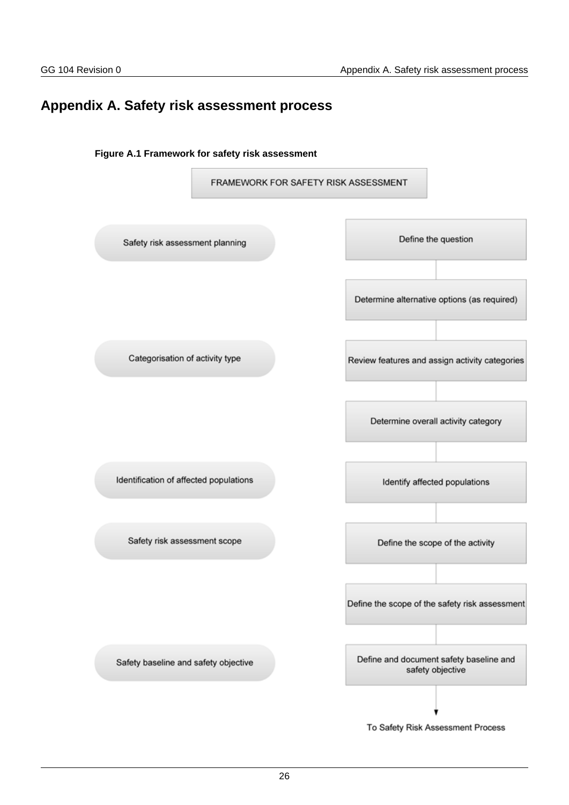## <span id="page-26-0"></span>**Appendix A. Safety risk assessment process**



To Safety Risk Assessment Process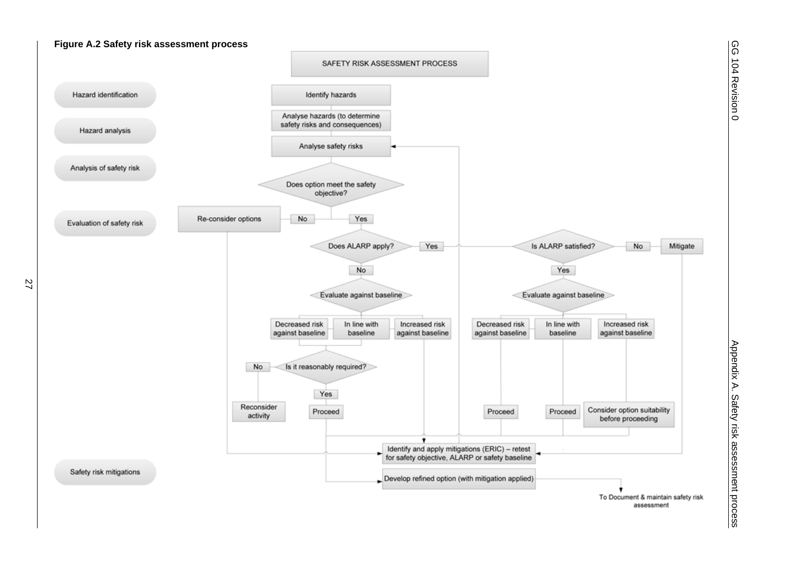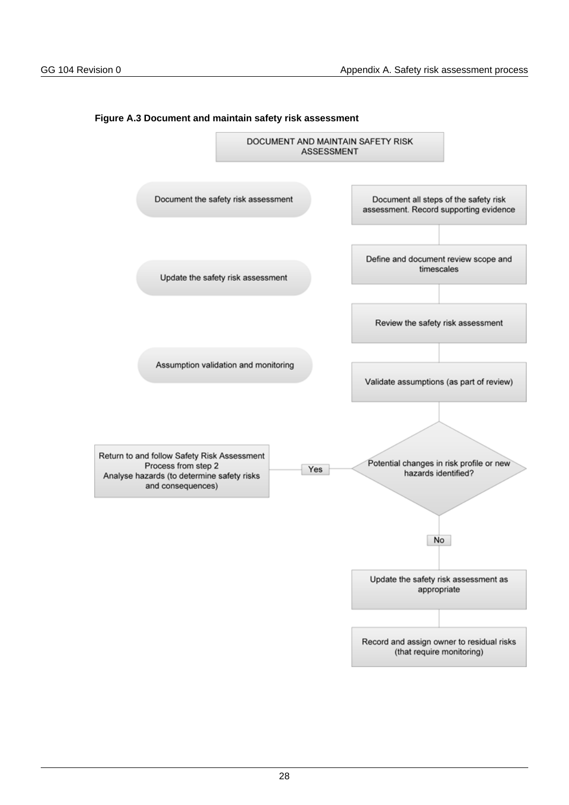

#### **Figure A.3 Document and maintain safety risk assessment**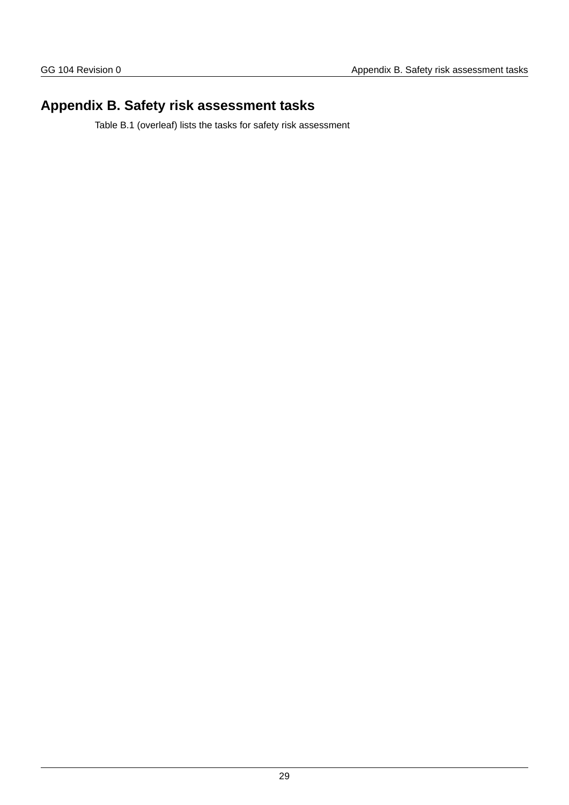## <span id="page-29-0"></span>**Appendix B. Safety risk assessment tasks**

Table B.1 (overleaf) lists the tasks for safety risk assessment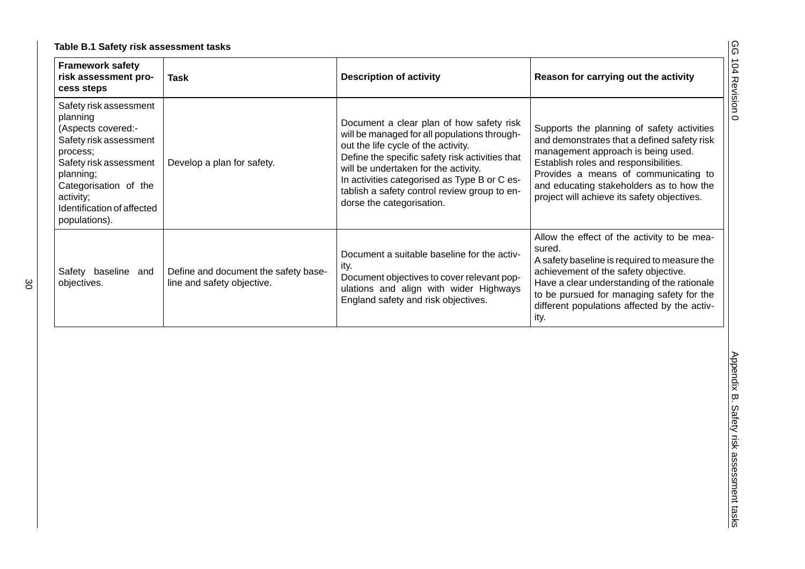|  | Table B.1 Safety risk assessment tasks |  |
|--|----------------------------------------|--|
|  |                                        |  |

| <b>Framework safety</b><br>risk assessment pro-<br>cess steps                                                                                                                                                              | <b>Task</b>                                                        | <b>Description of activity</b>                                                                                                                                                                                                                                                                                                                          | Reason for carrying out the activity                                                                                                                                                                                                                                                                        |
|----------------------------------------------------------------------------------------------------------------------------------------------------------------------------------------------------------------------------|--------------------------------------------------------------------|---------------------------------------------------------------------------------------------------------------------------------------------------------------------------------------------------------------------------------------------------------------------------------------------------------------------------------------------------------|-------------------------------------------------------------------------------------------------------------------------------------------------------------------------------------------------------------------------------------------------------------------------------------------------------------|
| Safety risk assessment<br>planning<br>(Aspects covered:-<br>Safety risk assessment<br>process;<br>Safety risk assessment<br>planning;<br>Categorisation of the<br>activity;<br>Identification of affected<br>populations). | Develop a plan for safety.                                         | Document a clear plan of how safety risk<br>will be managed for all populations through-<br>out the life cycle of the activity.<br>Define the specific safety risk activities that<br>will be undertaken for the activity.<br>In activities categorised as Type B or C es-<br>tablish a safety control review group to en-<br>dorse the categorisation. | Supports the planning of safety activities<br>and demonstrates that a defined safety risk<br>management approach is being used.<br>Establish roles and responsibilities.<br>Provides a means of communicating to<br>and educating stakeholders as to how the<br>project will achieve its safety objectives. |
| Safety baseline and<br>objectives.                                                                                                                                                                                         | Define and document the safety base-<br>line and safety objective. | Document a suitable baseline for the activ-<br>ity.<br>Document objectives to cover relevant pop-<br>ulations and align with wider Highways<br>England safety and risk objectives.                                                                                                                                                                      | Allow the effect of the activity to be mea-<br>sured.<br>A safety baseline is required to measure the<br>achievement of the safety objective.<br>Have a clear understanding of the rationale<br>to be pursued for managing safety for the<br>different populations affected by the activ-<br>ity.           |
|                                                                                                                                                                                                                            |                                                                    |                                                                                                                                                                                                                                                                                                                                                         |                                                                                                                                                                                                                                                                                                             |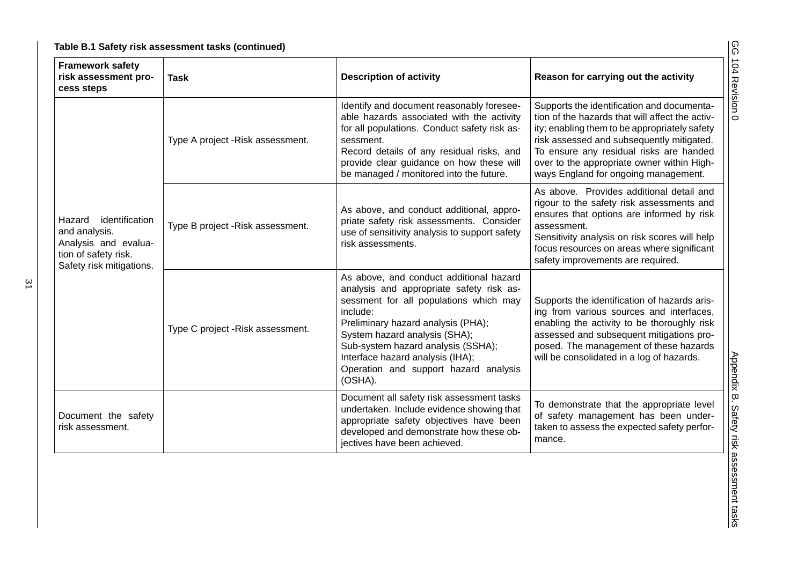|  | Table B.1 Safety risk assessment tasks (continued) |  |
|--|----------------------------------------------------|--|
|--|----------------------------------------------------|--|

| <b>Framework safety</b><br>risk assessment pro-<br><b>Task</b><br>cess steps                                          |                                  | <b>Description of activity</b>                                                                                                                                                                                                                                                                                                                 | Reason for carrying out the activity                                                                                                                                                                                                                                                                                         |  |
|-----------------------------------------------------------------------------------------------------------------------|----------------------------------|------------------------------------------------------------------------------------------------------------------------------------------------------------------------------------------------------------------------------------------------------------------------------------------------------------------------------------------------|------------------------------------------------------------------------------------------------------------------------------------------------------------------------------------------------------------------------------------------------------------------------------------------------------------------------------|--|
|                                                                                                                       | Type A project -Risk assessment. | Identify and document reasonably foresee-<br>able hazards associated with the activity<br>for all populations. Conduct safety risk as-<br>sessment.<br>Record details of any residual risks, and<br>provide clear guidance on how these will<br>be managed / monitored into the future.                                                        | Supports the identification and documenta-<br>tion of the hazards that will affect the activ-<br>ity; enabling them to be appropriately safety<br>risk assessed and subsequently mitigated.<br>To ensure any residual risks are handed<br>over to the appropriate owner within High-<br>ways England for ongoing management. |  |
| identification<br>Hazard<br>and analysis.<br>Analysis and evalua-<br>tion of safety risk.<br>Safety risk mitigations. | Type B project -Risk assessment. | As above, and conduct additional, appro-<br>priate safety risk assessments. Consider<br>use of sensitivity analysis to support safety<br>risk assessments.                                                                                                                                                                                     | As above. Provides additional detail and<br>rigour to the safety risk assessments and<br>ensures that options are informed by risk<br>assessment.<br>Sensitivity analysis on risk scores will help<br>focus resources on areas where significant<br>safety improvements are required.                                        |  |
|                                                                                                                       | Type C project -Risk assessment. | As above, and conduct additional hazard<br>analysis and appropriate safety risk as-<br>sessment for all populations which may<br>include:<br>Preliminary hazard analysis (PHA);<br>System hazard analysis (SHA);<br>Sub-system hazard analysis (SSHA);<br>Interface hazard analysis (IHA);<br>Operation and support hazard analysis<br>(OSHA). | Supports the identification of hazards aris-<br>ing from various sources and interfaces,<br>enabling the activity to be thoroughly risk<br>assessed and subsequent mitigations pro-<br>posed. The management of these hazards<br>will be consolidated in a log of hazards.                                                   |  |
| Document the safety<br>risk assessment.                                                                               |                                  | Document all safety risk assessment tasks<br>undertaken. Include evidence showing that<br>appropriate safety objectives have been<br>developed and demonstrate how these ob-<br>jectives have been achieved.                                                                                                                                   | To demonstrate that the appropriate level<br>of safety management has been under-<br>taken to assess the expected safety perfor-<br>mance.                                                                                                                                                                                   |  |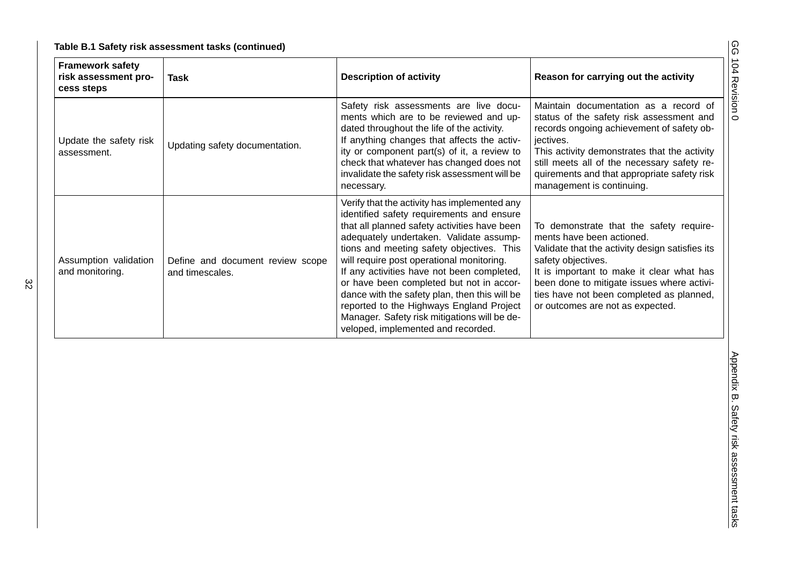|  | Table B.1 Safety risk assessment tasks (continued) |  |
|--|----------------------------------------------------|--|
|--|----------------------------------------------------|--|

| <b>Framework safety</b><br>risk assessment pro-<br>cess steps | <b>Task</b>                                         | <b>Description of activity</b>                                                                                                                                                                                                                                                                                                                                                                                                                                                                                                                              | Reason for carrying out the activity                                                                                                                                                                                                                                                                                     |  |
|---------------------------------------------------------------|-----------------------------------------------------|-------------------------------------------------------------------------------------------------------------------------------------------------------------------------------------------------------------------------------------------------------------------------------------------------------------------------------------------------------------------------------------------------------------------------------------------------------------------------------------------------------------------------------------------------------------|--------------------------------------------------------------------------------------------------------------------------------------------------------------------------------------------------------------------------------------------------------------------------------------------------------------------------|--|
| Update the safety risk<br>assessment.                         | Updating safety documentation.                      | Safety risk assessments are live docu-<br>ments which are to be reviewed and up-<br>dated throughout the life of the activity.<br>If anything changes that affects the activ-<br>ity or component part(s) of it, a review to<br>check that whatever has changed does not<br>invalidate the safety risk assessment will be<br>necessary.                                                                                                                                                                                                                     | Maintain documentation as a record of<br>status of the safety risk assessment and<br>records ongoing achievement of safety ob-<br>jectives.<br>This activity demonstrates that the activity<br>still meets all of the necessary safety re-<br>quirements and that appropriate safety risk<br>management is continuing.   |  |
| Assumption validation<br>and monitoring.                      | Define and document review scope<br>and timescales. | Verify that the activity has implemented any<br>identified safety requirements and ensure<br>that all planned safety activities have been<br>adequately undertaken. Validate assump-<br>tions and meeting safety objectives. This<br>will require post operational monitoring.<br>If any activities have not been completed,<br>or have been completed but not in accor-<br>dance with the safety plan, then this will be<br>reported to the Highways England Project<br>Manager. Safety risk mitigations will be de-<br>veloped, implemented and recorded. | To demonstrate that the safety require-<br>ments have been actioned.<br>Validate that the activity design satisfies its<br>safety objectives.<br>It is important to make it clear what has<br>been done to mitigate issues where activi-<br>ties have not been completed as planned,<br>or outcomes are not as expected. |  |
|                                                               |                                                     |                                                                                                                                                                                                                                                                                                                                                                                                                                                                                                                                                             |                                                                                                                                                                                                                                                                                                                          |  |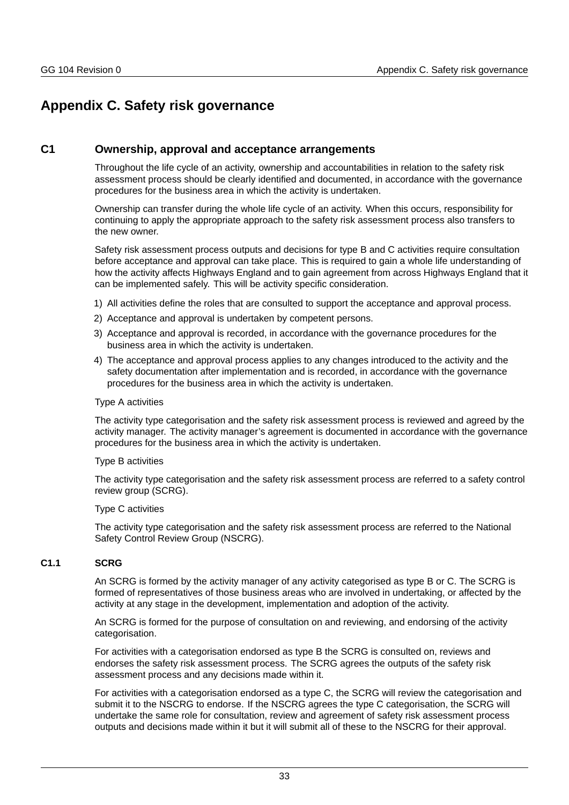## <span id="page-33-0"></span>**Appendix C. Safety risk governance**

## <span id="page-33-1"></span>**C1 Ownership, approval and acceptance arrangements**

Throughout the life cycle of an activity, ownership and accountabilities in relation to the safety risk assessment process should be clearly identified and documented, in accordance with the governance procedures for the business area in which the activity is undertaken.

Ownership can transfer during the whole life cycle of an activity. When this occurs, responsibility for continuing to apply the appropriate approach to the safety risk assessment process also transfers to the new owner.

Safety risk assessment process outputs and decisions for type B and C activities require consultation before acceptance and approval can take place. This is required to gain a whole life understanding of how the activity affects Highways England and to gain agreement from across Highways England that it can be implemented safely. This will be activity specific consideration.

- 1) All activities define the roles that are consulted to support the acceptance and approval process.
- 2) Acceptance and approval is undertaken by competent persons.
- 3) Acceptance and approval is recorded, in accordance with the governance procedures for the business area in which the activity is undertaken.
- 4) The acceptance and approval process applies to any changes introduced to the activity and the safety documentation after implementation and is recorded, in accordance with the governance procedures for the business area in which the activity is undertaken.

#### Type A activities

The activity type categorisation and the safety risk assessment process is reviewed and agreed by the activity manager. The activity manager's agreement is documented in accordance with the governance procedures for the business area in which the activity is undertaken.

#### Type B activities

The activity type categorisation and the safety risk assessment process are referred to a safety control review group (SCRG).

#### Type C activities

The activity type categorisation and the safety risk assessment process are referred to the National Safety Control Review Group (NSCRG).

## <span id="page-33-2"></span>**C1.1 SCRG**

An SCRG is formed by the activity manager of any activity categorised as type B or C. The SCRG is formed of representatives of those business areas who are involved in undertaking, or affected by the activity at any stage in the development, implementation and adoption of the activity.

An SCRG is formed for the purpose of consultation on and reviewing, and endorsing of the activity categorisation.

For activities with a categorisation endorsed as type B the SCRG is consulted on, reviews and endorses the safety risk assessment process. The SCRG agrees the outputs of the safety risk assessment process and any decisions made within it.

For activities with a categorisation endorsed as a type C, the SCRG will review the categorisation and submit it to the NSCRG to endorse. If the NSCRG agrees the type C categorisation, the SCRG will undertake the same role for consultation, review and agreement of safety risk assessment process outputs and decisions made within it but it will submit all of these to the NSCRG for their approval.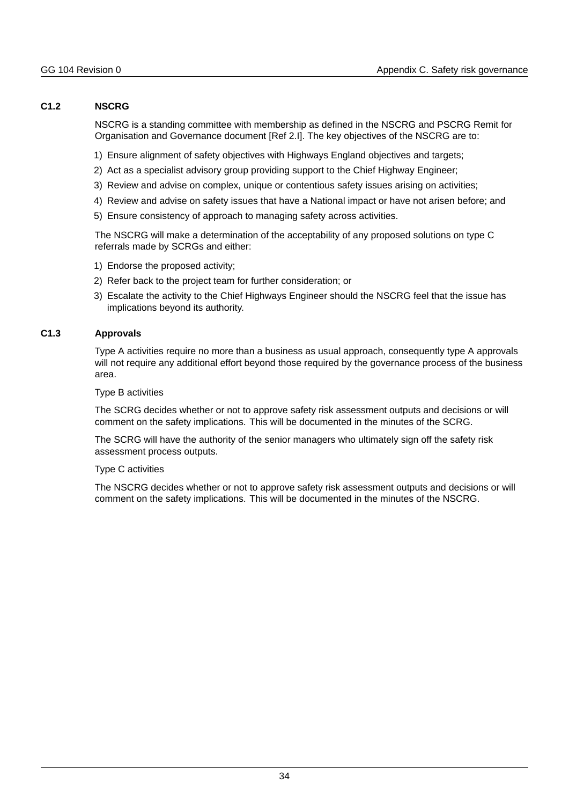## **C1.2 NSCRG**

NSCRG is a standing committee with membership as defined in the NSCRG and PSCRG Remit for Organisation and Governance document [Ref 2.I]. The key objectives of the NSCRG are to:

- 1) Ensure alignment of safety objectives with Highways England objectives and targets;
- 2) Act as a specialist advisory group providing support to the Chief Highway Engineer;
- 3) Review and advise on complex, unique or contentious safety issues arising on activities;
- 4) Review and advise on safety issues that have a National impact or have not arisen before; and
- 5) Ensure consistency of approach to managing safety across activities.

The NSCRG will make a determination of the acceptability of any proposed solutions on type C referrals made by SCRGs and either:

- 1) Endorse the proposed activity;
- 2) Refer back to the project team for further consideration; or
- 3) Escalate the activity to the Chief Highways Engineer should the NSCRG feel that the issue has implications beyond its authority.

#### **C1.3 Approvals**

Type A activities require no more than a business as usual approach, consequently type A approvals will not require any additional effort beyond those required by the governance process of the business area.

Type B activities

The SCRG decides whether or not to approve safety risk assessment outputs and decisions or will comment on the safety implications. This will be documented in the minutes of the SCRG.

The SCRG will have the authority of the senior managers who ultimately sign off the safety risk assessment process outputs.

#### Type C activities

The NSCRG decides whether or not to approve safety risk assessment outputs and decisions or will comment on the safety implications. This will be documented in the minutes of the NSCRG.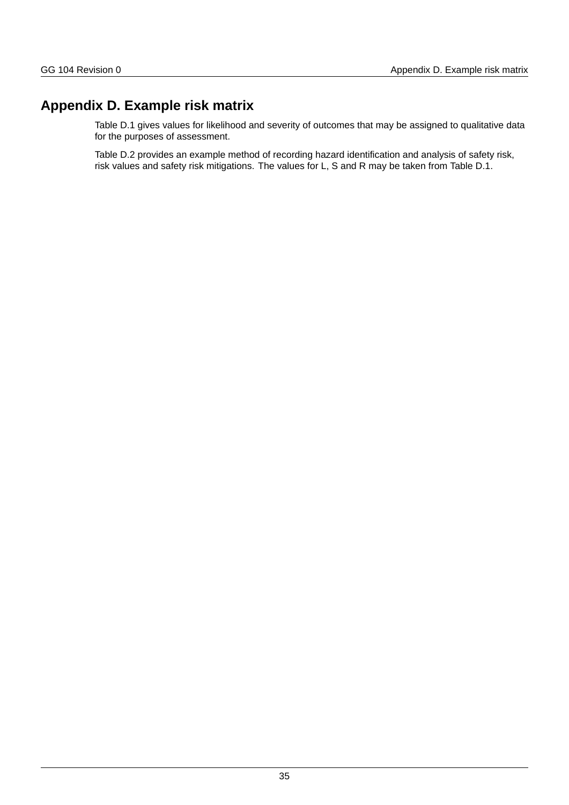## **Appendix D. Example risk matrix**

Table D.1 gives values for likelihood and severity of outcomes that may be assigned to qualitative data for the purposes of assessment.

Table D.2 provides an example method of recording hazard identification and analysis of safety risk, risk values and safety risk mitigations. The values for L, S and R may be taken from Table D.1.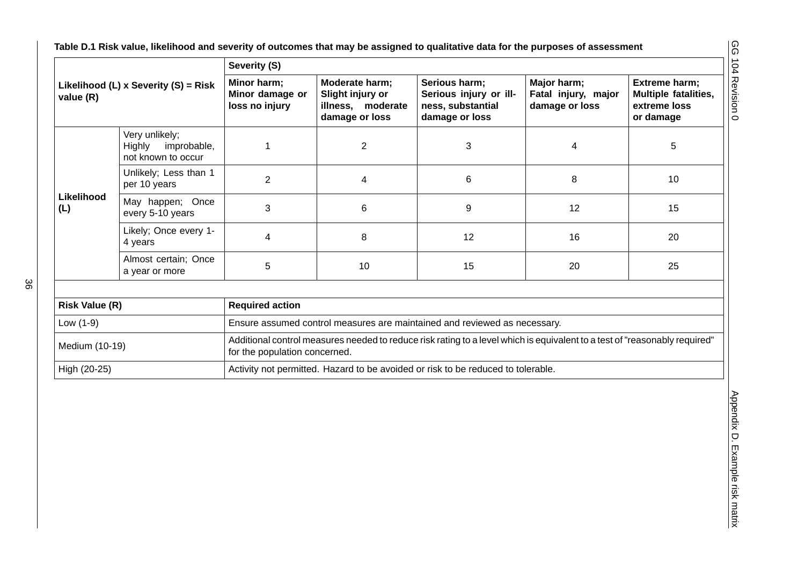|                       |                                                               | Severity (S)                                     |                                                                           |                                                                                                                            |                                                      |                                                                    |
|-----------------------|---------------------------------------------------------------|--------------------------------------------------|---------------------------------------------------------------------------|----------------------------------------------------------------------------------------------------------------------------|------------------------------------------------------|--------------------------------------------------------------------|
| value (R)             | Likelihood (L) x Severity (S) = Risk                          | Minor harm;<br>Minor damage or<br>loss no injury | Moderate harm;<br>Slight injury or<br>illness, moderate<br>damage or loss | Serious harm;<br>Serious injury or ill-<br>ness, substantial<br>damage or loss                                             | Major harm;<br>Fatal injury, major<br>damage or loss | Extreme harm;<br>Multiple fatalities,<br>extreme loss<br>or damage |
|                       | Very unlikely;<br>Highly<br>improbable,<br>not known to occur | $\mathbf{1}$                                     | $\overline{2}$                                                            | 3                                                                                                                          | $\overline{4}$                                       | 5                                                                  |
|                       | Unlikely; Less than 1<br>per 10 years                         | $\overline{2}$                                   | $\overline{\mathbf{4}}$                                                   | 6                                                                                                                          | 8                                                    | 10                                                                 |
| Likelihood<br>(L)     | May happen; Once<br>every 5-10 years                          | 3                                                | $\,6$                                                                     | 9                                                                                                                          | 12                                                   | 15                                                                 |
|                       | Likely; Once every 1-<br>4 years                              | 4                                                | 8                                                                         | 12                                                                                                                         | 16                                                   | 20                                                                 |
|                       | Almost certain; Once<br>a year or more                        | 5                                                | $10\,$                                                                    | 15                                                                                                                         | 20                                                   | 25                                                                 |
|                       |                                                               |                                                  |                                                                           |                                                                                                                            |                                                      |                                                                    |
| <b>Risk Value (R)</b> |                                                               | <b>Required action</b>                           |                                                                           |                                                                                                                            |                                                      |                                                                    |
| Low $(1-9)$           |                                                               |                                                  |                                                                           | Ensure assumed control measures are maintained and reviewed as necessary.                                                  |                                                      |                                                                    |
| Medium (10-19)        |                                                               | for the population concerned.                    |                                                                           | Additional control measures needed to reduce risk rating to a level which is equivalent to a test of "reasonably required" |                                                      |                                                                    |
| High (20-25)          |                                                               |                                                  |                                                                           | Activity not permitted. Hazard to be avoided or risk to be reduced to tolerable.                                           |                                                      |                                                                    |
|                       |                                                               |                                                  |                                                                           |                                                                                                                            |                                                      |                                                                    |

| <b>Risk Value (R)</b> | <b>Required action</b>                                                                                                                                      |  |  |  |  |  |  |
|-----------------------|-------------------------------------------------------------------------------------------------------------------------------------------------------------|--|--|--|--|--|--|
| Low $(1-9)$           | Ensure assumed control measures are maintained and reviewed as necessary.                                                                                   |  |  |  |  |  |  |
| Medium (10-19)        | Additional control measures needed to reduce risk rating to a level which is equivalent to a test of "reasonably required"<br>for the population concerned. |  |  |  |  |  |  |
| High (20-25)          | Activity not permitted. Hazard to be avoided or risk to be reduced to tolerable.                                                                            |  |  |  |  |  |  |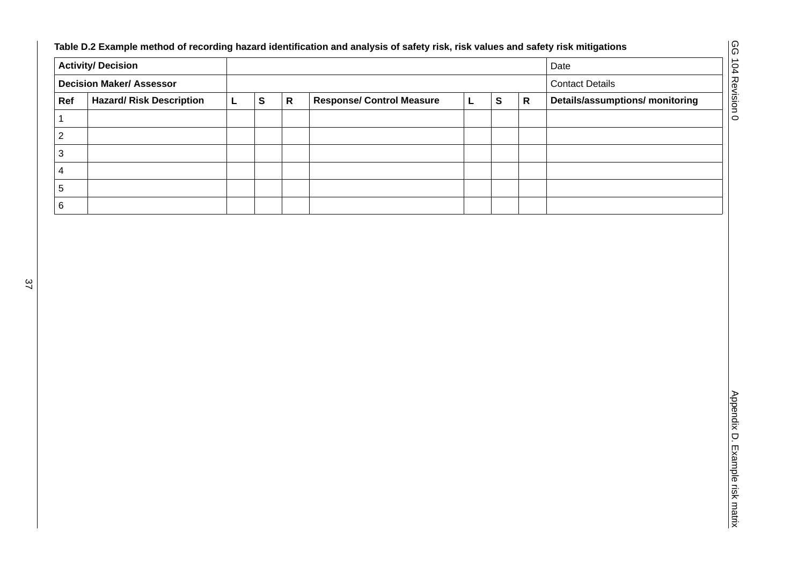| <b>Activity/ Decision</b><br><b>Decision Maker/ Assessor</b> |                                 |              |           |                           |                                  |              |              |           | Date                                   |
|--------------------------------------------------------------|---------------------------------|--------------|-----------|---------------------------|----------------------------------|--------------|--------------|-----------|----------------------------------------|
|                                                              |                                 |              |           |                           |                                  |              |              |           | <b>Contact Details</b>                 |
| Ref                                                          | <b>Hazard/ Risk Description</b> | $\mathsf{L}$ | ${\sf s}$ | $\boldsymbol{\mathsf{R}}$ | <b>Response/ Control Measure</b> | $\mathsf{L}$ | $\mathbf{s}$ | ${\sf R}$ | <b>Details/assumptions/ monitoring</b> |
| $\mathbf 1$                                                  |                                 |              |           |                           |                                  |              |              |           |                                        |
| $\overline{c}$                                               |                                 |              |           |                           |                                  |              |              |           |                                        |
| $\ensuremath{\mathsf{3}}$                                    |                                 |              |           |                           |                                  |              |              |           |                                        |
| $\overline{4}$                                               |                                 |              |           |                           |                                  |              |              |           |                                        |
| 5                                                            |                                 |              |           |                           |                                  |              |              |           |                                        |
| $\,6\,$                                                      |                                 |              |           |                           |                                  |              |              |           |                                        |
|                                                              |                                 |              |           |                           |                                  |              |              |           |                                        |
|                                                              |                                 |              |           |                           |                                  |              |              |           |                                        |